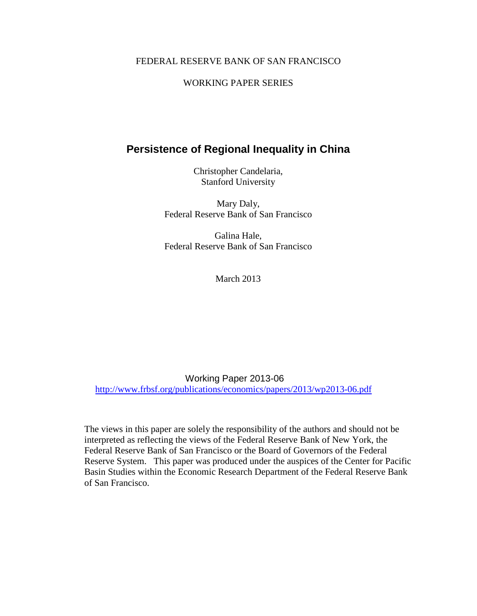### FEDERAL RESERVE BANK OF SAN FRANCISCO

### WORKING PAPER SERIES

# **Persistence of Regional Inequality in China**

Christopher Candelaria, Stanford University

Mary Daly, Federal Reserve Bank of San Francisco

Galina Hale, Federal Reserve Bank of San Francisco

March 2013

Working Paper 2013-06 <http://www.frbsf.org/publications/economics/papers/2013/wp2013-06.pdf>

The views in this paper are solely the responsibility of the authors and should not be interpreted as reflecting the views of the Federal Reserve Bank of New York, the Federal Reserve Bank of San Francisco or the Board of Governors of the Federal Reserve System. This paper was produced under the auspices of the Center for Pacific Basin Studies within the Economic Research Department of the Federal Reserve Bank of San Francisco.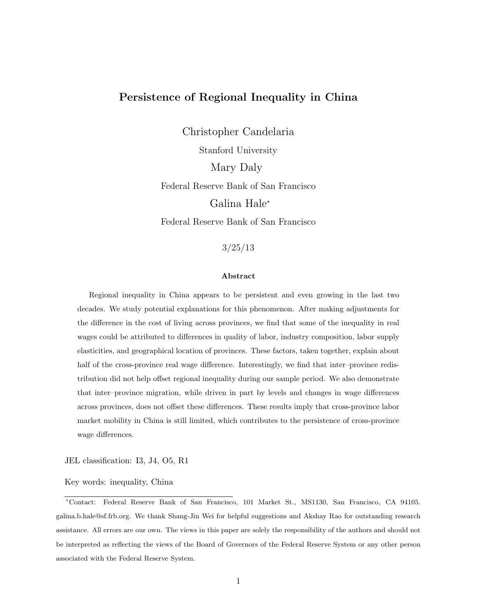# Persistence of Regional Inequality in China

Christopher Candelaria Stanford University Mary Daly Federal Reserve Bank of San Francisco Galina Hale<sup>∗</sup> Federal Reserve Bank of San Francisco

3/25/13

#### Abstract

Regional inequality in China appears to be persistent and even growing in the last two decades. We study potential explanations for this phenomenon. After making adjustments for the difference in the cost of living across provinces, we find that some of the inequality in real wages could be attributed to differences in quality of labor, industry composition, labor supply elasticities, and geographical location of provinces. These factors, taken together, explain about half of the cross-province real wage difference. Interestingly, we find that inter-province redistribution did not help offset regional inequality during our sample period. We also demonstrate that inter–province migration, while driven in part by levels and changes in wage differences across provinces, does not offset these differences. These results imply that cross-province labor market mobility in China is still limited, which contributes to the persistence of cross-province wage differences.

JEL classification: I3, J4, O5, R1

Key words: inequality, China

<sup>∗</sup>Contact: Federal Reserve Bank of San Francisco, 101 Market St., MS1130, San Francisco, CA 94105. galina.b.hale@sf.frb.org. We thank Shang-Jin Wei for helpful suggestions and Akshay Rao for outstanding research assistance. All errors are our own. The views in this paper are solely the responsibility of the authors and should not be interpreted as reflecting the views of the Board of Governors of the Federal Reserve System or any other person associated with the Federal Reserve System.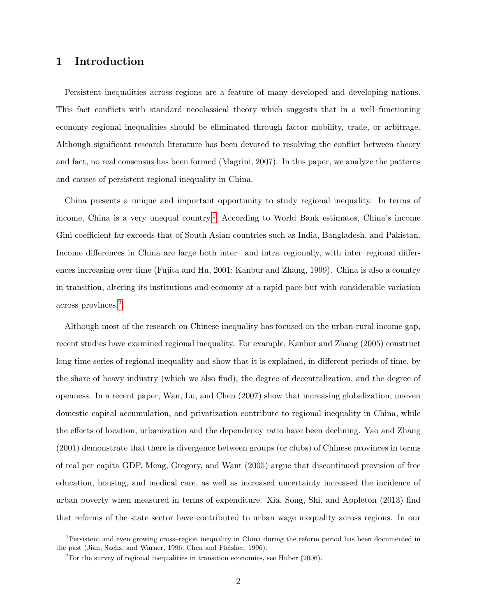# 1 Introduction

Persistent inequalities across regions are a feature of many developed and developing nations. This fact conflicts with standard neoclassical theory which suggests that in a well–functioning economy regional inequalities should be eliminated through factor mobility, trade, or arbitrage. Although significant research literature has been devoted to resolving the conflict between theory and fact, no real consensus has been formed (Magrini, 2007). In this paper, we analyze the patterns and causes of persistent regional inequality in China.

China presents a unique and important opportunity to study regional inequality. In terms of income, China is a very unequal country.<sup>[1](#page--1-0)</sup> According to World Bank estimates, China's income Gini coefficient far exceeds that of South Asian countries such as India, Bangladesh, and Pakistan. Income differences in China are large both inter– and intra–regionally, with inter–regional differences increasing over time (Fujita and Hu, 2001; Kanbur and Zhang, 1999). China is also a country in transition, altering its institutions and economy at a rapid pace but with considerable variation across provinces.[2](#page--1-0)

Although most of the research on Chinese inequality has focused on the urban-rural income gap, recent studies have examined regional inequality. For example, Kanbur and Zhang (2005) construct long time series of regional inequality and show that it is explained, in different periods of time, by the share of heavy industry (which we also find), the degree of decentralization, and the degree of openness. In a recent paper, Wan, Lu, and Chen (2007) show that increasing globalization, uneven domestic capital accumulation, and privatization contribute to regional inequality in China, while the effects of location, urbanization and the dependency ratio have been declining. Yao and Zhang (2001) demonstrate that there is divergence between groups (or clubs) of Chinese provinces in terms of real per capita GDP. Meng, Gregory, and Want (2005) argue that discontinued provision of free education, housing, and medical care, as well as increased uncertainty increased the incidence of urban poverty when measured in terms of expenditure. Xia, Song, Shi, and Appleton (2013) find that reforms of the state sector have contributed to urban wage inequality across regions. In our

<sup>&</sup>lt;sup>1</sup>Persistent and even growing cross–region inequality in China during the reform period has been documented in the past (Jian, Sachs, and Warner, 1996; Chen and Fleisher, 1996).

 $2^2$ For the survey of regional inequalities in transition economies, see Huber (2006).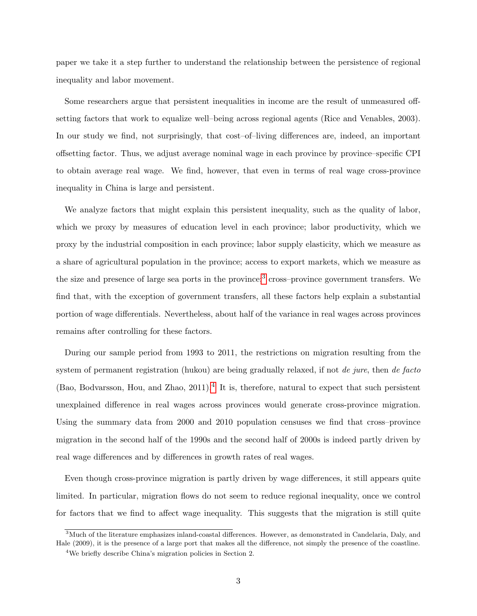paper we take it a step further to understand the relationship between the persistence of regional inequality and labor movement.

Some researchers argue that persistent inequalities in income are the result of unmeasured offsetting factors that work to equalize well–being across regional agents (Rice and Venables, 2003). In our study we find, not surprisingly, that cost–of–living differences are, indeed, an important offsetting factor. Thus, we adjust average nominal wage in each province by province–specific CPI to obtain average real wage. We find, however, that even in terms of real wage cross-province inequality in China is large and persistent.

We analyze factors that might explain this persistent inequality, such as the quality of labor, which we proxy by measures of education level in each province; labor productivity, which we proxy by the industrial composition in each province; labor supply elasticity, which we measure as a share of agricultural population in the province; access to export markets, which we measure as the size and presence of large sea ports in the province;<sup>[3](#page--1-0)</sup> cross–province government transfers. We find that, with the exception of government transfers, all these factors help explain a substantial portion of wage differentials. Nevertheless, about half of the variance in real wages across provinces remains after controlling for these factors.

During our sample period from 1993 to 2011, the restrictions on migration resulting from the system of permanent registration (hukou) are being gradually relaxed, if not *de jure*, then *de facto* (Bao, Bodvarsson, Hou, and Zhao, 2011).<sup>[4](#page--1-0)</sup> It is, therefore, natural to expect that such persistent unexplained difference in real wages across provinces would generate cross-province migration. Using the summary data from 2000 and 2010 population censuses we find that cross–province migration in the second half of the 1990s and the second half of 2000s is indeed partly driven by real wage differences and by differences in growth rates of real wages.

Even though cross-province migration is partly driven by wage differences, it still appears quite limited. In particular, migration flows do not seem to reduce regional inequality, once we control for factors that we find to affect wage inequality. This suggests that the migration is still quite

<sup>&</sup>lt;sup>3</sup>Much of the literature emphasizes inland-coastal differences. However, as demonstrated in Candelaria, Daly, and Hale (2009), it is the presence of a large port that makes all the difference, not simply the presence of the coastline.

<sup>4</sup>We briefly describe China's migration policies in Section 2.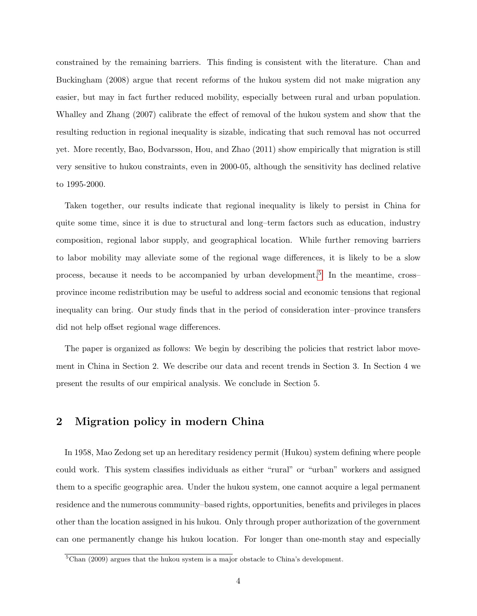constrained by the remaining barriers. This finding is consistent with the literature. Chan and Buckingham (2008) argue that recent reforms of the hukou system did not make migration any easier, but may in fact further reduced mobility, especially between rural and urban population. Whalley and Zhang (2007) calibrate the effect of removal of the hukou system and show that the resulting reduction in regional inequality is sizable, indicating that such removal has not occurred yet. More recently, Bao, Bodvarsson, Hou, and Zhao (2011) show empirically that migration is still very sensitive to hukou constraints, even in 2000-05, although the sensitivity has declined relative to 1995-2000.

Taken together, our results indicate that regional inequality is likely to persist in China for quite some time, since it is due to structural and long–term factors such as education, industry composition, regional labor supply, and geographical location. While further removing barriers to labor mobility may alleviate some of the regional wage differences, it is likely to be a slow process, because it needs to be accompanied by urban development.<sup>[5](#page--1-0)</sup> In the meantime, crossprovince income redistribution may be useful to address social and economic tensions that regional inequality can bring. Our study finds that in the period of consideration inter–province transfers did not help offset regional wage differences.

The paper is organized as follows: We begin by describing the policies that restrict labor movement in China in Section 2. We describe our data and recent trends in Section 3. In Section 4 we present the results of our empirical analysis. We conclude in Section 5.

## 2 Migration policy in modern China

In 1958, Mao Zedong set up an hereditary residency permit (Hukou) system defining where people could work. This system classifies individuals as either "rural" or "urban" workers and assigned them to a specific geographic area. Under the hukou system, one cannot acquire a legal permanent residence and the numerous community–based rights, opportunities, benefits and privileges in places other than the location assigned in his hukou. Only through proper authorization of the government can one permanently change his hukou location. For longer than one-month stay and especially

 ${}^{5}$ Chan (2009) argues that the hukou system is a major obstacle to China's development.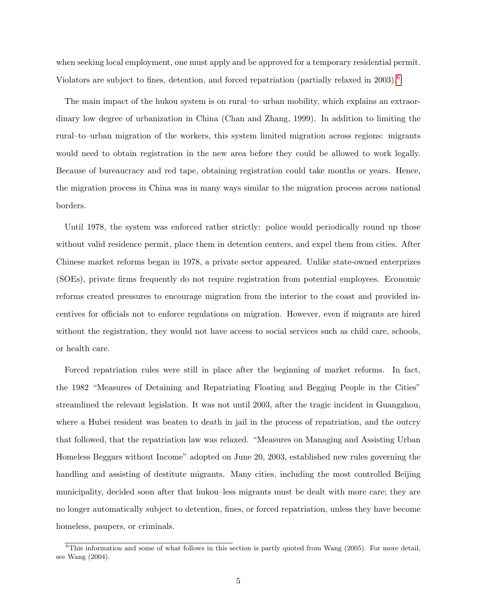when seeking local employment, one must apply and be approved for a temporary residential permit. Violators are subject to fines, detention, and forced repatriation (partially relaxed in 2003).<sup>[6](#page--1-0)</sup>

The main impact of the hukou system is on rural–to–urban mobility, which explains an extraordinary low degree of urbanization in China (Chan and Zhang, 1999). In addition to limiting the rural–to–urban migration of the workers, this system limited migration across regions: migrants would need to obtain registration in the new area before they could be allowed to work legally. Because of bureaucracy and red tape, obtaining registration could take months or years. Hence, the migration process in China was in many ways similar to the migration process across national borders.

Until 1978, the system was enforced rather strictly: police would periodically round up those without valid residence permit, place them in detention centers, and expel them from cities. After Chinese market reforms began in 1978, a private sector appeared. Unlike state-owned enterprizes (SOEs), private firms frequently do not require registration from potential employees. Economic reforms created pressures to encourage migration from the interior to the coast and provided incentives for officials not to enforce regulations on migration. However, even if migrants are hired without the registration, they would not have access to social services such as child care, schools, or health care.

Forced repatriation rules were still in place after the beginning of market reforms. In fact, the 1982 "Measures of Detaining and Repatriating Floating and Begging People in the Cities" streamlined the relevant legislation. It was not until 2003, after the tragic incident in Guangzhou, where a Hubei resident was beaten to death in jail in the process of repatriation, and the outcry that followed, that the repatriation law was relaxed. "Measures on Managing and Assisting Urban Homeless Beggars without Income" adopted on June 20, 2003, established new rules governing the handling and assisting of destitute migrants. Many cities, including the most controlled Beijing municipality, decided soon after that hukou–less migrants must be dealt with more care; they are no longer automatically subject to detention, fines, or forced repatriation, unless they have become homeless, paupers, or criminals.

 $6$ This information and some of what follows in this section is partly quoted from Wang (2005). For more detail, see Wang (2004).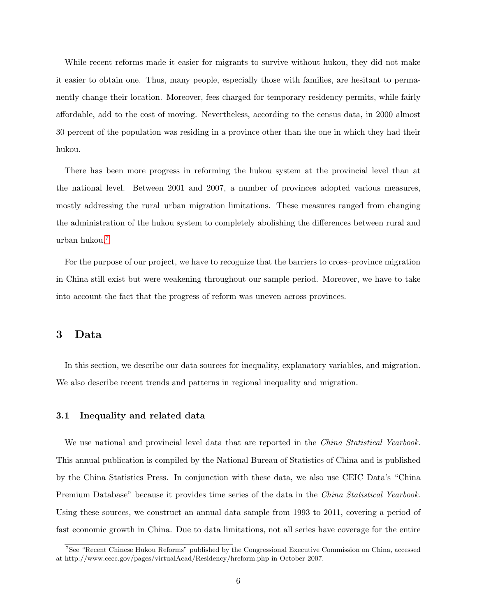While recent reforms made it easier for migrants to survive without hukou, they did not make it easier to obtain one. Thus, many people, especially those with families, are hesitant to permanently change their location. Moreover, fees charged for temporary residency permits, while fairly affordable, add to the cost of moving. Nevertheless, according to the census data, in 2000 almost 30 percent of the population was residing in a province other than the one in which they had their hukou.

There has been more progress in reforming the hukou system at the provincial level than at the national level. Between 2001 and 2007, a number of provinces adopted various measures, mostly addressing the rural–urban migration limitations. These measures ranged from changing the administration of the hukou system to completely abolishing the differences between rural and urban hukou.[7](#page--1-0)

For the purpose of our project, we have to recognize that the barriers to cross–province migration in China still exist but were weakening throughout our sample period. Moreover, we have to take into account the fact that the progress of reform was uneven across provinces.

## 3 Data

In this section, we describe our data sources for inequality, explanatory variables, and migration. We also describe recent trends and patterns in regional inequality and migration.

#### 3.1 Inequality and related data

We use national and provincial level data that are reported in the *China Statistical Yearbook*. This annual publication is compiled by the National Bureau of Statistics of China and is published by the China Statistics Press. In conjunction with these data, we also use CEIC Data's "China Premium Database" because it provides time series of the data in the *China Statistical Yearbook*. Using these sources, we construct an annual data sample from 1993 to 2011, covering a period of fast economic growth in China. Due to data limitations, not all series have coverage for the entire

<sup>7</sup>See "Recent Chinese Hukou Reforms" published by the Congressional Executive Commission on China, accessed at http://www.cecc.gov/pages/virtualAcad/Residency/hreform.php in October 2007.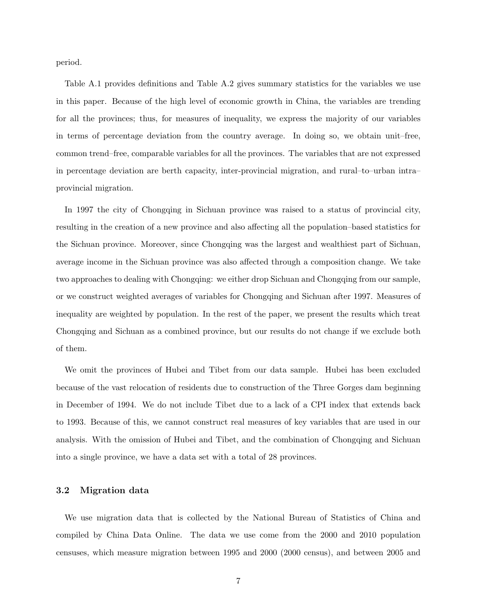period.

Table A.1 provides definitions and Table A.2 gives summary statistics for the variables we use in this paper. Because of the high level of economic growth in China, the variables are trending for all the provinces; thus, for measures of inequality, we express the majority of our variables in terms of percentage deviation from the country average. In doing so, we obtain unit–free, common trend–free, comparable variables for all the provinces. The variables that are not expressed in percentage deviation are berth capacity, inter-provincial migration, and rural–to–urban intra– provincial migration.

In 1997 the city of Chongqing in Sichuan province was raised to a status of provincial city, resulting in the creation of a new province and also affecting all the population–based statistics for the Sichuan province. Moreover, since Chongqing was the largest and wealthiest part of Sichuan, average income in the Sichuan province was also affected through a composition change. We take two approaches to dealing with Chongqing: we either drop Sichuan and Chongqing from our sample, or we construct weighted averages of variables for Chongqing and Sichuan after 1997. Measures of inequality are weighted by population. In the rest of the paper, we present the results which treat Chongqing and Sichuan as a combined province, but our results do not change if we exclude both of them.

We omit the provinces of Hubei and Tibet from our data sample. Hubei has been excluded because of the vast relocation of residents due to construction of the Three Gorges dam beginning in December of 1994. We do not include Tibet due to a lack of a CPI index that extends back to 1993. Because of this, we cannot construct real measures of key variables that are used in our analysis. With the omission of Hubei and Tibet, and the combination of Chongqing and Sichuan into a single province, we have a data set with a total of 28 provinces.

#### 3.2 Migration data

We use migration data that is collected by the National Bureau of Statistics of China and compiled by China Data Online. The data we use come from the 2000 and 2010 population censuses, which measure migration between 1995 and 2000 (2000 census), and between 2005 and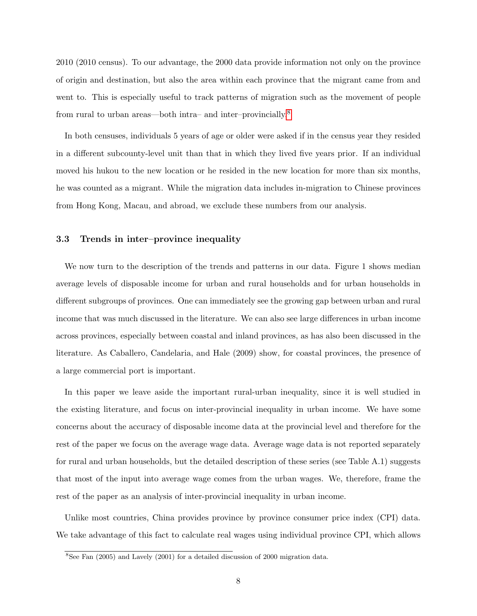2010 (2010 census). To our advantage, the 2000 data provide information not only on the province of origin and destination, but also the area within each province that the migrant came from and went to. This is especially useful to track patterns of migration such as the movement of people from rural to urban areas—both intra– and inter–provincially.<sup>[8](#page--1-0)</sup>

In both censuses, individuals 5 years of age or older were asked if in the census year they resided in a different subcounty-level unit than that in which they lived five years prior. If an individual moved his hukou to the new location or he resided in the new location for more than six months, he was counted as a migrant. While the migration data includes in-migration to Chinese provinces from Hong Kong, Macau, and abroad, we exclude these numbers from our analysis.

### 3.3 Trends in inter–province inequality

We now turn to the description of the trends and patterns in our data. Figure 1 shows median average levels of disposable income for urban and rural households and for urban households in different subgroups of provinces. One can immediately see the growing gap between urban and rural income that was much discussed in the literature. We can also see large differences in urban income across provinces, especially between coastal and inland provinces, as has also been discussed in the literature. As Caballero, Candelaria, and Hale (2009) show, for coastal provinces, the presence of a large commercial port is important.

In this paper we leave aside the important rural-urban inequality, since it is well studied in the existing literature, and focus on inter-provincial inequality in urban income. We have some concerns about the accuracy of disposable income data at the provincial level and therefore for the rest of the paper we focus on the average wage data. Average wage data is not reported separately for rural and urban households, but the detailed description of these series (see Table A.1) suggests that most of the input into average wage comes from the urban wages. We, therefore, frame the rest of the paper as an analysis of inter-provincial inequality in urban income.

Unlike most countries, China provides province by province consumer price index (CPI) data. We take advantage of this fact to calculate real wages using individual province CPI, which allows

 $8$ See Fan (2005) and Lavely (2001) for a detailed discussion of 2000 migration data.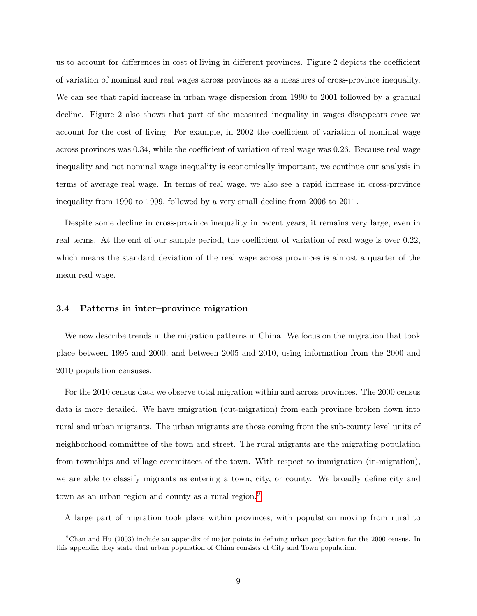us to account for differences in cost of living in different provinces. Figure 2 depicts the coefficient of variation of nominal and real wages across provinces as a measures of cross-province inequality. We can see that rapid increase in urban wage dispersion from 1990 to 2001 followed by a gradual decline. Figure 2 also shows that part of the measured inequality in wages disappears once we account for the cost of living. For example, in 2002 the coefficient of variation of nominal wage across provinces was 0.34, while the coefficient of variation of real wage was 0.26. Because real wage inequality and not nominal wage inequality is economically important, we continue our analysis in terms of average real wage. In terms of real wage, we also see a rapid increase in cross-province inequality from 1990 to 1999, followed by a very small decline from 2006 to 2011.

Despite some decline in cross-province inequality in recent years, it remains very large, even in real terms. At the end of our sample period, the coefficient of variation of real wage is over 0.22, which means the standard deviation of the real wage across provinces is almost a quarter of the mean real wage.

### 3.4 Patterns in inter–province migration

We now describe trends in the migration patterns in China. We focus on the migration that took place between 1995 and 2000, and between 2005 and 2010, using information from the 2000 and 2010 population censuses.

For the 2010 census data we observe total migration within and across provinces. The 2000 census data is more detailed. We have emigration (out-migration) from each province broken down into rural and urban migrants. The urban migrants are those coming from the sub-county level units of neighborhood committee of the town and street. The rural migrants are the migrating population from townships and village committees of the town. With respect to immigration (in-migration), we are able to classify migrants as entering a town, city, or county. We broadly define city and town as an urban region and county as a rural region.<sup>[9](#page--1-0)</sup>

A large part of migration took place within provinces, with population moving from rural to

<sup>9</sup>Chan and Hu (2003) include an appendix of major points in defining urban population for the 2000 census. In this appendix they state that urban population of China consists of City and Town population.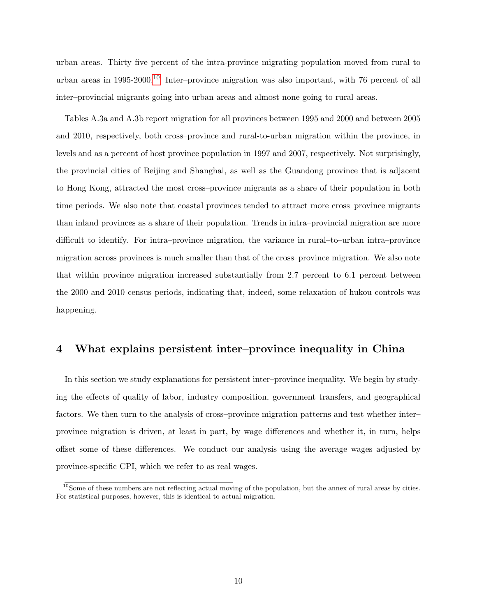urban areas. Thirty five percent of the intra-province migrating population moved from rural to urban areas in 1995-2000.<sup>[10](#page--1-0)</sup> Inter-province migration was also important, with 76 percent of all inter–provincial migrants going into urban areas and almost none going to rural areas.

Tables A.3a and A.3b report migration for all provinces between 1995 and 2000 and between 2005 and 2010, respectively, both cross–province and rural-to-urban migration within the province, in levels and as a percent of host province population in 1997 and 2007, respectively. Not surprisingly, the provincial cities of Beijing and Shanghai, as well as the Guandong province that is adjacent to Hong Kong, attracted the most cross–province migrants as a share of their population in both time periods. We also note that coastal provinces tended to attract more cross–province migrants than inland provinces as a share of their population. Trends in intra–provincial migration are more difficult to identify. For intra–province migration, the variance in rural–to–urban intra–province migration across provinces is much smaller than that of the cross–province migration. We also note that within province migration increased substantially from 2.7 percent to 6.1 percent between the 2000 and 2010 census periods, indicating that, indeed, some relaxation of hukou controls was happening.

# 4 What explains persistent inter–province inequality in China

In this section we study explanations for persistent inter–province inequality. We begin by studying the effects of quality of labor, industry composition, government transfers, and geographical factors. We then turn to the analysis of cross–province migration patterns and test whether inter– province migration is driven, at least in part, by wage differences and whether it, in turn, helps offset some of these differences. We conduct our analysis using the average wages adjusted by province-specific CPI, which we refer to as real wages.

 $10$ Some of these numbers are not reflecting actual moving of the population, but the annex of rural areas by cities. For statistical purposes, however, this is identical to actual migration.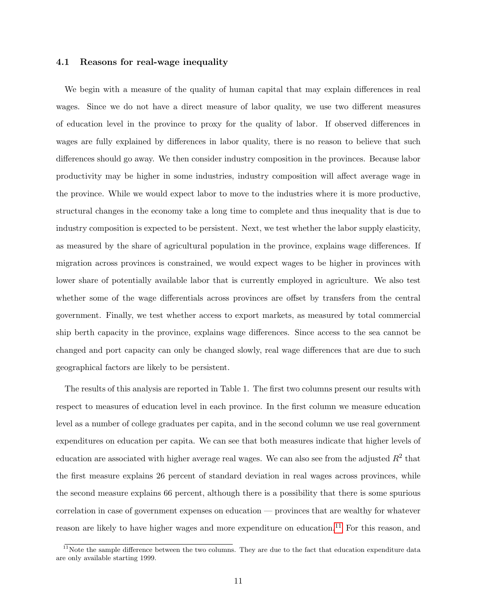### 4.1 Reasons for real-wage inequality

We begin with a measure of the quality of human capital that may explain differences in real wages. Since we do not have a direct measure of labor quality, we use two different measures of education level in the province to proxy for the quality of labor. If observed differences in wages are fully explained by differences in labor quality, there is no reason to believe that such differences should go away. We then consider industry composition in the provinces. Because labor productivity may be higher in some industries, industry composition will affect average wage in the province. While we would expect labor to move to the industries where it is more productive, structural changes in the economy take a long time to complete and thus inequality that is due to industry composition is expected to be persistent. Next, we test whether the labor supply elasticity, as measured by the share of agricultural population in the province, explains wage differences. If migration across provinces is constrained, we would expect wages to be higher in provinces with lower share of potentially available labor that is currently employed in agriculture. We also test whether some of the wage differentials across provinces are offset by transfers from the central government. Finally, we test whether access to export markets, as measured by total commercial ship berth capacity in the province, explains wage differences. Since access to the sea cannot be changed and port capacity can only be changed slowly, real wage differences that are due to such geographical factors are likely to be persistent.

The results of this analysis are reported in Table 1. The first two columns present our results with respect to measures of education level in each province. In the first column we measure education level as a number of college graduates per capita, and in the second column we use real government expenditures on education per capita. We can see that both measures indicate that higher levels of education are associated with higher average real wages. We can also see from the adjusted  $R^2$  that the first measure explains 26 percent of standard deviation in real wages across provinces, while the second measure explains 66 percent, although there is a possibility that there is some spurious correlation in case of government expenses on education — provinces that are wealthy for whatever reason are likely to have higher wages and more expenditure on education.<sup>[11](#page--1-0)</sup> For this reason, and

 $11$ Note the sample difference between the two columns. They are due to the fact that education expenditure data are only available starting 1999.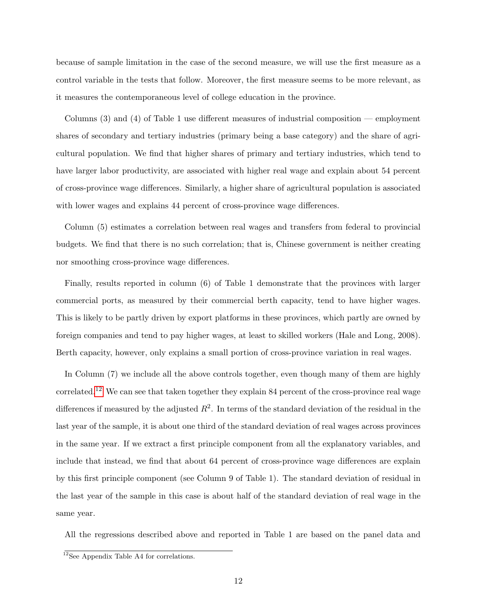because of sample limitation in the case of the second measure, we will use the first measure as a control variable in the tests that follow. Moreover, the first measure seems to be more relevant, as it measures the contemporaneous level of college education in the province.

Columns (3) and (4) of Table 1 use different measures of industrial composition — employment shares of secondary and tertiary industries (primary being a base category) and the share of agricultural population. We find that higher shares of primary and tertiary industries, which tend to have larger labor productivity, are associated with higher real wage and explain about 54 percent of cross-province wage differences. Similarly, a higher share of agricultural population is associated with lower wages and explains 44 percent of cross-province wage differences.

Column (5) estimates a correlation between real wages and transfers from federal to provincial budgets. We find that there is no such correlation; that is, Chinese government is neither creating nor smoothing cross-province wage differences.

Finally, results reported in column (6) of Table 1 demonstrate that the provinces with larger commercial ports, as measured by their commercial berth capacity, tend to have higher wages. This is likely to be partly driven by export platforms in these provinces, which partly are owned by foreign companies and tend to pay higher wages, at least to skilled workers (Hale and Long, 2008). Berth capacity, however, only explains a small portion of cross-province variation in real wages.

In Column (7) we include all the above controls together, even though many of them are highly correlated.<sup>[12](#page--1-0)</sup> We can see that taken together they explain 84 percent of the cross-province real wage differences if measured by the adjusted  $R^2$ . In terms of the standard deviation of the residual in the last year of the sample, it is about one third of the standard deviation of real wages across provinces in the same year. If we extract a first principle component from all the explanatory variables, and include that instead, we find that about 64 percent of cross-province wage differences are explain by this first principle component (see Column 9 of Table 1). The standard deviation of residual in the last year of the sample in this case is about half of the standard deviation of real wage in the same year.

All the regressions described above and reported in Table 1 are based on the panel data and

 $12$ See Appendix Table A4 for correlations.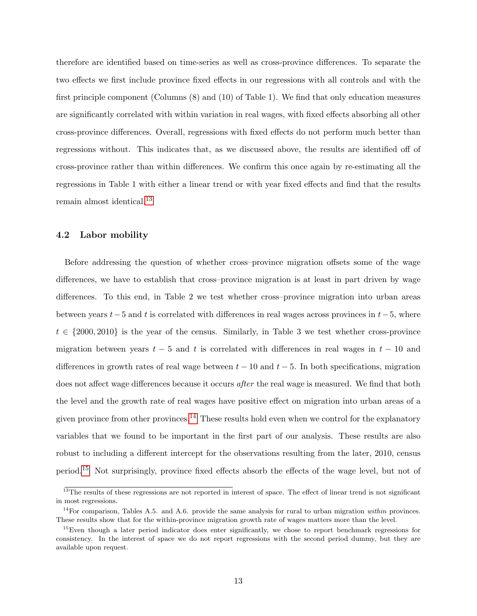therefore are identified based on time-series as well as cross-province differences. To separate the two effects we first include province fixed effects in our regressions with all controls and with the first principle component (Columns (8) and (10) of Table 1). We find that only education measures are significantly correlated with within variation in real wages, with fixed effects absorbing all other cross-province differences. Overall, regressions with fixed effects do not perform much better than regressions without. This indicates that, as we discussed above, the results are identified off of cross-province rather than within differences. We confirm this once again by re-estimating all the regressions in Table 1 with either a linear trend or with year fixed effects and find that the results remain almost identical.[13](#page--1-0)

### 4.2 Labor mobility

Before addressing the question of whether cross–province migration offsets some of the wage differences, we have to establish that cross–province migration is at least in part driven by wage differences. To this end, in Table 2 we test whether cross–province migration into urban areas between years  $t-5$  and t is correlated with differences in real wages across provinces in  $t-5$ , where  $t \in \{2000, 2010\}$  is the year of the census. Similarly, in Table 3 we test whether cross-province migration between years  $t - 5$  and t is correlated with differences in real wages in  $t - 10$  and differences in growth rates of real wage between  $t - 10$  and  $t - 5$ . In both specifications, migration does not affect wage differences because it occurs after the real wage is measured. We find that both the level and the growth rate of real wages have positive effect on migration into urban areas of a given province from other provinces.[14](#page--1-0) These results hold even when we control for the explanatory variables that we found to be important in the first part of our analysis. These results are also robust to including a different intercept for the observations resulting from the later, 2010, census period.[15](#page--1-0) Not surprisingly, province fixed effects absorb the effects of the wage level, but not of

 $13$ The results of these regressions are not reported in interest of space. The effect of linear trend is not significant in most regressions.

 $14$ For comparison, Tables A.5. and A.6. provide the same analysis for rural to urban migration within provinces. These results show that for the within-province migration growth rate of wages matters more than the level.

<sup>&</sup>lt;sup>15</sup>Even though a later period indicator does enter significantly, we chose to report benchmark regressions for consistency. In the interest of space we do not report regressions with the second period dummy, but they are available upon request.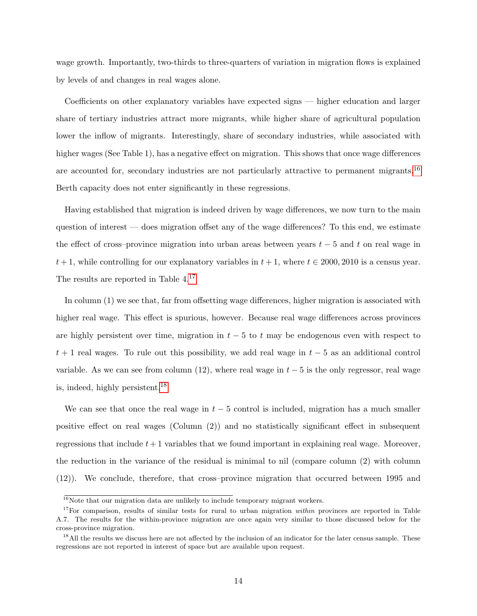wage growth. Importantly, two-thirds to three-quarters of variation in migration flows is explained by levels of and changes in real wages alone.

Coefficients on other explanatory variables have expected signs — higher education and larger share of tertiary industries attract more migrants, while higher share of agricultural population lower the inflow of migrants. Interestingly, share of secondary industries, while associated with higher wages (See Table 1), has a negative effect on migration. This shows that once wage differences are accounted for, secondary industries are not particularly attractive to permanent migrants.<sup>[16](#page--1-0)</sup> Berth capacity does not enter significantly in these regressions.

Having established that migration is indeed driven by wage differences, we now turn to the main question of interest — does migration offset any of the wage differences? To this end, we estimate the effect of cross–province migration into urban areas between years  $t-5$  and t on real wage in  $t+1$ , while controlling for our explanatory variables in  $t+1$ , where  $t \in 2000, 2010$  is a census year. The results are reported in Table 4.[17](#page--1-0)

In column (1) we see that, far from offsetting wage differences, higher migration is associated with higher real wage. This effect is spurious, however. Because real wage differences across provinces are highly persistent over time, migration in  $t - 5$  to t may be endogenous even with respect to  $t + 1$  real wages. To rule out this possibility, we add real wage in  $t - 5$  as an additional control variable. As we can see from column (12), where real wage in  $t - 5$  is the only regressor, real wage is, indeed, highly persistent.[18](#page--1-0)

We can see that once the real wage in  $t - 5$  control is included, migration has a much smaller positive effect on real wages (Column (2)) and no statistically significant effect in subsequent regressions that include  $t+1$  variables that we found important in explaining real wage. Moreover, the reduction in the variance of the residual is minimal to nil (compare column (2) with column (12)). We conclude, therefore, that cross–province migration that occurred between 1995 and

 $16$ Note that our migration data are unlikely to include temporary migrant workers.

 $17$ For comparison, results of similar tests for rural to urban migration within provinces are reported in Table A.7. The results for the within-province migration are once again very similar to those discussed below for the cross-province migration.

<sup>&</sup>lt;sup>18</sup>All the results we discuss here are not affected by the inclusion of an indicator for the later census sample. These regressions are not reported in interest of space but are available upon request.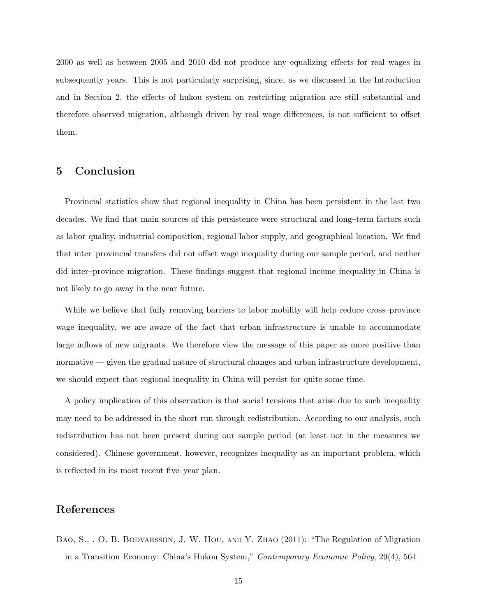2000 as well as between 2005 and 2010 did not produce any equalizing effects for real wages in subsequently years. This is not particularly surprising, since, as we discussed in the Introduction and in Section 2, the effects of hukou system on restricting migration are still substantial and therefore observed migration, although driven by real wage differences, is not sufficient to offset them.

# 5 Conclusion

Provincial statistics show that regional inequality in China has been persistent in the last two decades. We find that main sources of this persistence were structural and long–term factors such as labor quality, industrial composition, regional labor supply, and geographical location. We find that inter–provincial transfers did not offset wage inequality during our sample period, and neither did inter–province migration. These findings suggest that regional income inequality in China is not likely to go away in the near future.

While we believe that fully removing barriers to labor mobility will help reduce cross–province wage inequality, we are aware of the fact that urban infrastructure is unable to accommodate large inflows of new migrants. We therefore view the message of this paper as more positive than normative — given the gradual nature of structural changes and urban infrastructure development, we should expect that regional inequality in China will persist for quite some time.

A policy implication of this observation is that social tensions that arise due to such inequality may need to be addressed in the short run through redistribution. According to our analysis, such redistribution has not been present during our sample period (at least not in the measures we considered). Chinese government, however, recognizes inequality as an important problem, which is reflected in its most recent five–year plan.

# References

BAO, S., O. B. BODVARSSON, J. W. HOU, AND Y. ZHAO (2011): "The Regulation of Migration in a Transition Economy: China's Hukou System," Contemporary Economic Policy, 29(4), 564–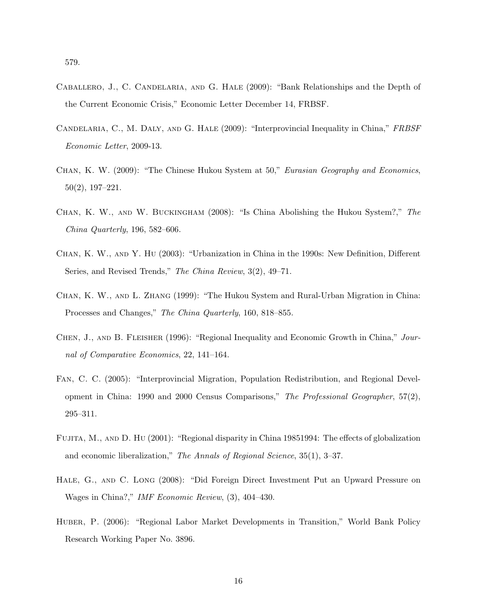- Caballero, J., C. Candelaria, and G. Hale (2009): "Bank Relationships and the Depth of the Current Economic Crisis," Economic Letter December 14, FRBSF.
- Candelaria, C., M. Daly, and G. Hale (2009): "Interprovincial Inequality in China," FRBSF Economic Letter, 2009-13.
- CHAN, K. W. (2009): "The Chinese Hukou System at 50," Eurasian Geography and Economics, 50(2), 197–221.
- Chan, K. W., and W. Buckingham (2008): "Is China Abolishing the Hukou System?," The China Quarterly, 196, 582–606.
- Chan, K. W., and Y. Hu (2003): "Urbanization in China in the 1990s: New Definition, Different Series, and Revised Trends," The China Review, 3(2), 49–71.
- Chan, K. W., and L. Zhang (1999): "The Hukou System and Rural-Urban Migration in China: Processes and Changes," The China Quarterly, 160, 818–855.
- Chen, J., and B. Fleisher (1996): "Regional Inequality and Economic Growth in China," Journal of Comparative Economics, 22, 141–164.
- Fan, C. C. (2005): "Interprovincial Migration, Population Redistribution, and Regional Development in China: 1990 and 2000 Census Comparisons," The Professional Geographer, 57(2), 295–311.
- Fujita, M., and D. Hu (2001): "Regional disparity in China 19851994: The effects of globalization and economic liberalization," The Annals of Regional Science, 35(1), 3–37.
- Hale, G., and C. Long (2008): "Did Foreign Direct Investment Put an Upward Pressure on Wages in China?," IMF Economic Review, (3), 404–430.
- Huber, P. (2006): "Regional Labor Market Developments in Transition," World Bank Policy Research Working Paper No. 3896.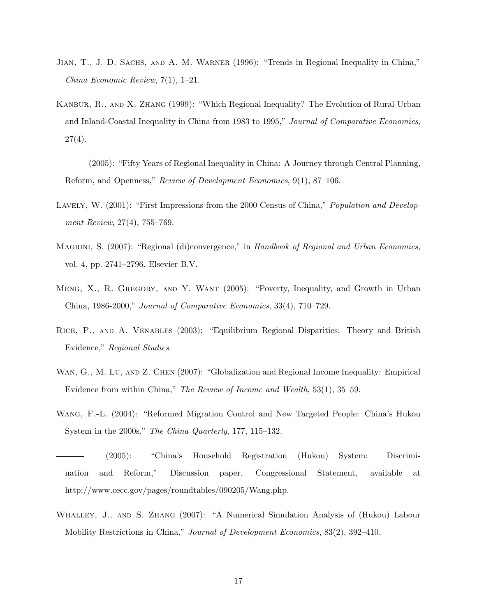- Jian, T., J. D. Sachs, and A. M. Warner (1996): "Trends in Regional Inequality in China," China Economic Review, 7(1), 1–21.
- Kanbur, R., and X. Zhang (1999): "Which Regional Inequality? The Evolution of Rural-Urban and Inland-Coastal Inequality in China from 1983 to 1995," Journal of Comparative Economics,  $27(4)$ .
- (2005): "Fifty Years of Regional Inequality in China: A Journey through Central Planning, Reform, and Openness," Review of Development Economics, 9(1), 87–106.
- LAVELY, W. (2001): "First Impressions from the 2000 Census of China," *Population and Develop*ment Review, 27(4), 755–769.
- MAGRINI, S. (2007): "Regional (di)convergence," in Handbook of Regional and Urban Economics, vol. 4, pp. 2741–2796. Elsevier B.V.
- Meng, X., R. Gregory, and Y. Want (2005): "Poverty, Inequality, and Growth in Urban China, 1986-2000," Journal of Comparative Economics, 33(4), 710–729.
- Rice, P., and A. Venables (2003): "Equilibrium Regional Disparities: Theory and British Evidence," Regional Studies.
- WAN, G., M. Lu, AND Z. CHEN (2007): "Globalization and Regional Income Inequality: Empirical Evidence from within China," The Review of Income and Wealth, 53(1), 35–59.
- Wang, F.-L. (2004): "Reformed Migration Control and New Targeted People: China's Hukou System in the 2000s," The China Quarterly, 177, 115–132.
- (2005): "China's Household Registration (Hukou) System: Discrimination and Reform," Discussion paper, Congressional Statement, available at http://www.cecc.gov/pages/roundtables/090205/Wang.php.
- Whalley, J., and S. Zhang (2007): "A Numerical Simulation Analysis of (Hukou) Labour Mobility Restrictions in China," Journal of Development Economics, 83(2), 392–410.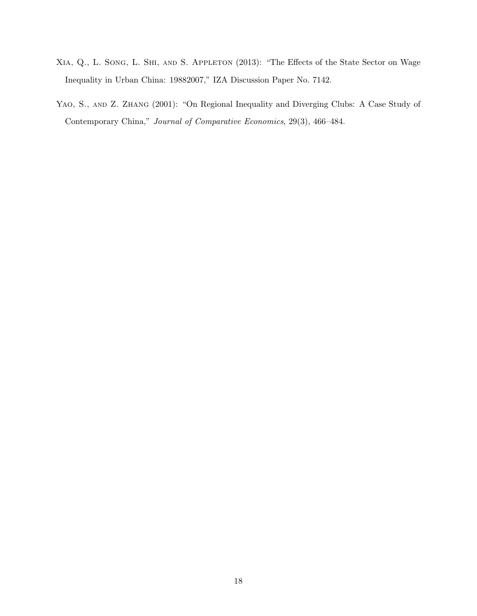- Xia, Q., L. Song, L. Shi, and S. Appleton (2013): "The Effects of the State Sector on Wage Inequality in Urban China: 19882007," IZA Discussion Paper No. 7142.
- YAO, S., AND Z. ZHANG (2001): "On Regional Inequality and Diverging Clubs: A Case Study of Contemporary China," Journal of Comparative Economics, 29(3), 466–484.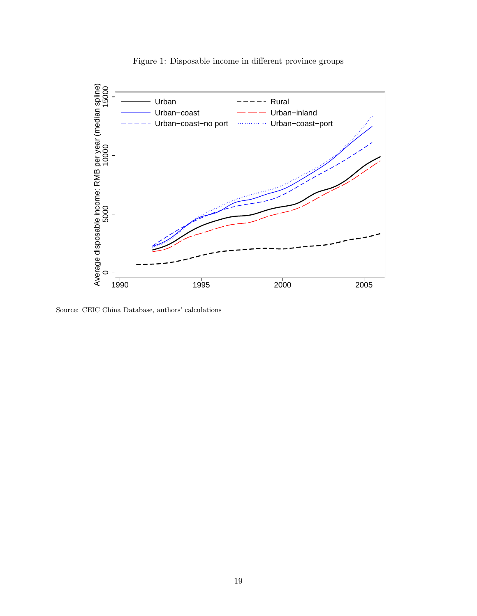

Figure 1: Disposable income in different province groups

Source: CEIC China Database, authors' calculations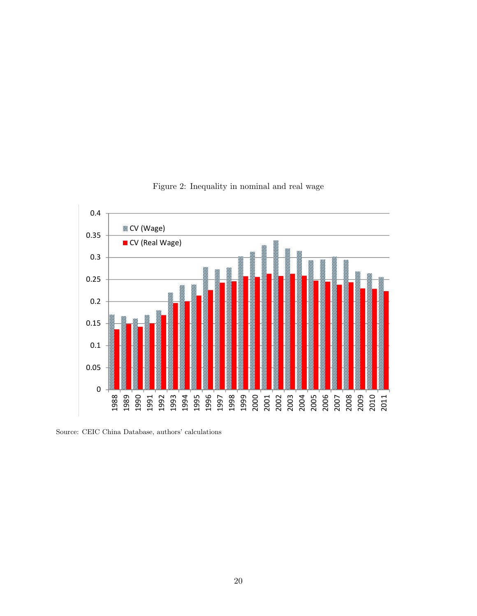

Figure 2: Inequality in nominal and real wage

Source: CEIC China Database, authors' calculations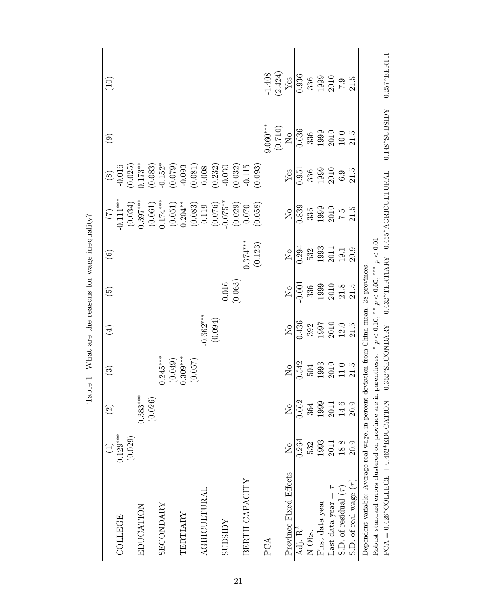|                                                                                                                |                         | $\widehat{\Omega}$ | $\widehat{\mathbb{G}}$                                      | $\widehat{\pm}$                                             | $\widetilde{\mathbf{e}}$                                           | $\widehat{6}$                                                         | $(\zeta)$                                                                          | $\circledS$                                                               | $\widehat{\mathbf{e}}$                                             | $\left(10\right)$                                                                                                                     |
|----------------------------------------------------------------------------------------------------------------|-------------------------|--------------------|-------------------------------------------------------------|-------------------------------------------------------------|--------------------------------------------------------------------|-----------------------------------------------------------------------|------------------------------------------------------------------------------------|---------------------------------------------------------------------------|--------------------------------------------------------------------|---------------------------------------------------------------------------------------------------------------------------------------|
| COLLEGE                                                                                                        | $0.129***$              |                    |                                                             |                                                             |                                                                    |                                                                       | $-0.111***$                                                                        | $-0.016$                                                                  |                                                                    |                                                                                                                                       |
|                                                                                                                | (0.029)                 |                    |                                                             |                                                             |                                                                    |                                                                       | $(0.034)$<br>0.397***                                                              | $(0.025)$<br>$0.173**$                                                    |                                                                    |                                                                                                                                       |
| EDUCATION                                                                                                      |                         | $0.383***$         |                                                             |                                                             |                                                                    |                                                                       |                                                                                    |                                                                           |                                                                    |                                                                                                                                       |
|                                                                                                                |                         | (0.026)            |                                                             |                                                             |                                                                    |                                                                       |                                                                                    |                                                                           |                                                                    |                                                                                                                                       |
| <b>SECONDARY</b>                                                                                               |                         |                    | $0.245***$                                                  |                                                             |                                                                    |                                                                       |                                                                                    |                                                                           |                                                                    |                                                                                                                                       |
|                                                                                                                |                         |                    | (0.049)                                                     |                                                             |                                                                    |                                                                       | $\begin{array}{c} (0.061) \\ 0.174^{***} \\ (0.051) \\ (0.204^{**} \\ \end{array}$ | $\begin{array}{c} (0.083) \\ -0.152^{*} \\ (0.079) \\ -0.093 \end{array}$ |                                                                    |                                                                                                                                       |
| TERTIARY                                                                                                       |                         |                    | $0.309***$                                                  |                                                             |                                                                    |                                                                       |                                                                                    |                                                                           |                                                                    |                                                                                                                                       |
|                                                                                                                |                         |                    | (0.057)                                                     |                                                             |                                                                    |                                                                       | $\begin{array}{c} (0.083) \\ 0.119 \\ (0.076) \end{array}$                         | $\begin{array}{c} (0.081) \\ 0.008 \\ (0.232) \\ -0.030 \end{array}$      |                                                                    |                                                                                                                                       |
| <b>AGRICULTURAL</b>                                                                                            |                         |                    |                                                             | $-0.662***$                                                 |                                                                    |                                                                       |                                                                                    |                                                                           |                                                                    |                                                                                                                                       |
|                                                                                                                |                         |                    |                                                             | (0.094)                                                     |                                                                    |                                                                       |                                                                                    |                                                                           |                                                                    |                                                                                                                                       |
| <b>ZGISSLOS</b>                                                                                                |                         |                    |                                                             |                                                             |                                                                    |                                                                       |                                                                                    |                                                                           |                                                                    |                                                                                                                                       |
|                                                                                                                |                         |                    |                                                             |                                                             | $(0.016)$<br>(0.063)                                               |                                                                       | $-0.075**$<br>$(0.029)$<br>$0.070$                                                 | (0.032)                                                                   |                                                                    |                                                                                                                                       |
| BERTH CAPACITY                                                                                                 |                         |                    |                                                             |                                                             |                                                                    | $0.374***$                                                            |                                                                                    | $-0.115$                                                                  |                                                                    |                                                                                                                                       |
|                                                                                                                |                         |                    |                                                             |                                                             |                                                                    | (0.123)                                                               | (0.058)                                                                            | (0.093)                                                                   |                                                                    |                                                                                                                                       |
| PCA                                                                                                            |                         |                    |                                                             |                                                             |                                                                    |                                                                       |                                                                                    |                                                                           | $9.060***$                                                         |                                                                                                                                       |
|                                                                                                                |                         |                    |                                                             |                                                             |                                                                    |                                                                       |                                                                                    |                                                                           | $(0.710)$ ${\rm N}_\odot$                                          | $-1.408$<br>(2.424)<br>Yes                                                                                                            |
| Province Fixed Effects                                                                                         | $\overline{\mathsf{X}}$ | $\frac{1}{2}$      | $\overline{R}$                                              | $\overline{\mathsf{X}}^{\mathsf{o}}$                        | $\rm \stackrel{\circ}{X}$                                          | $\mathop{\rm S}\nolimits$                                             | $\mathsf{S}^{\mathsf{O}}$                                                          | ${\rm Yes}$                                                               |                                                                    |                                                                                                                                       |
| Adj. R <sup>2</sup>                                                                                            | 0.264                   | 0.662              | 0.542                                                       | 0.436                                                       | $-0.001$                                                           | $0.29\overline{4}$                                                    | 0.839                                                                              | 0.951                                                                     | 0.636                                                              | 0.936                                                                                                                                 |
| N Obs.                                                                                                         | 532                     | 364                | 504                                                         | 392                                                         |                                                                    |                                                                       |                                                                                    | 336                                                                       |                                                                    |                                                                                                                                       |
| First data year                                                                                                | 1993                    | 1999               | $\begin{array}{c} 1993 \\ 2010 \\ 11.0 \\ 21.5 \end{array}$ | $\begin{array}{c} 1997 \\ 2010 \\ 12.0 \\ 21.5 \end{array}$ | $\begin{array}{c} 336 \\ 1999 \\ 2010 \\ 21.5 \\ 11.5 \end{array}$ | $\begin{array}{c} 532 \\ 1993 \\ 2011 \\ 19.1 \\ 19.1 \\ \end{array}$ | $\begin{array}{c} 336 \\ 1999 \\ 2010 \\ 7.5 \\ 21.5 \end{array}$                  | 1999                                                                      | $\begin{array}{c} 336 \\ 1999 \\ 2010 \\ 10.0 \\ 11.5 \end{array}$ | $\begin{array}{c} 336 \\ 1999 \\ 2010 \\ 7.9 \\ 21.5 \end{array}$                                                                     |
| Last data year $=$ $\tau$                                                                                      | 2011                    | 2011               |                                                             |                                                             |                                                                    |                                                                       |                                                                                    | $\begin{array}{c} 2010 \\ 6.9 \end{array}$                                |                                                                    |                                                                                                                                       |
| S.D. of residual $(\tau)$                                                                                      | 18.8                    | 14.6               |                                                             |                                                             |                                                                    |                                                                       |                                                                                    |                                                                           |                                                                    |                                                                                                                                       |
| S.D. of real wage $(\tau)$                                                                                     | 20.9                    | 20.9               |                                                             |                                                             |                                                                    |                                                                       |                                                                                    | 21.5                                                                      |                                                                    |                                                                                                                                       |
| Dependent variable: Average real wage, in percent                                                              |                         |                    |                                                             | deviation from China mean. 28 provinces                     |                                                                    |                                                                       |                                                                                    |                                                                           |                                                                    |                                                                                                                                       |
| Robust standard errors clustered on province are in parentheses. * $p < 0.10$ , ** $p < 0.05$ , *** $p < 0.01$ |                         |                    |                                                             |                                                             |                                                                    |                                                                       |                                                                                    |                                                                           |                                                                    |                                                                                                                                       |
| $PCA = 0.426*COLLEGE + 0.462*EDUCATION$                                                                        |                         |                    |                                                             |                                                             |                                                                    |                                                                       |                                                                                    |                                                                           |                                                                    | $+ 0.352^* \text{SDCONDARX} + 0.432^* \text{TERTIARX} - 0.455^* \text{AGRUCULTURAL} + 0.148^* \text{SUBSISY} + 0.257^* \text{BBRTHZ}$ |

PCA = 0.426\*COLLEGE + 0.462\*EDUCATION + 0.352\*SECONDARY + 0.432\*TERTIARY - 0.455\*AGRICULTURAL + 0.148\*SUBSIDY + 0.257\*BERTH

Table 1: What are the reasons for wage inequality? Table 1: What are the reasons for wage inequality?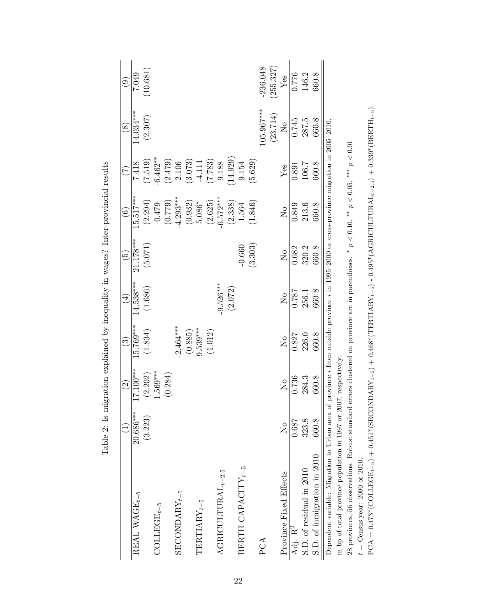|                                                                                                                                                        |                         | $\widetilde{\mathfrak{O}}$ | $\widetilde{\mathbb{C}}$ | $\widehat{\mathbb{F}}$ | <u>್ರ</u>             | $\widehat{\odot}$       | E                    | $\circledast$  | ම         |
|--------------------------------------------------------------------------------------------------------------------------------------------------------|-------------------------|----------------------------|--------------------------|------------------------|-----------------------|-------------------------|----------------------|----------------|-----------|
| REAL WAGE <sub>t-5</sub>                                                                                                                               | $20.686***$             | $17.100***$                | $15.769***$              | $14.538***$            | $21.178***$           | $15.517***$             | 7.418                | $14.034***$    | 7.049     |
|                                                                                                                                                        | (3.223)                 | (2.202)                    | (1.834)                  | (1.686)                | (5.071)               | (2.294)                 | (7.519)              | (2.307)        | 10.681)   |
| $\mathrm{COLLEGE}_{t-5}$                                                                                                                               |                         | $1.569***$                 |                          |                        |                       | 0.479                   | $6.462***$           |                |           |
|                                                                                                                                                        |                         | (0.284)                    |                          |                        |                       | (0.779)                 | $(2.479)$<br>$2.106$ |                |           |
| ${\tt SECONDARY}_{t-5}$                                                                                                                                |                         |                            | $2.464***$               |                        |                       | $-4.293***$             |                      |                |           |
|                                                                                                                                                        |                         |                            | (0.885)                  |                        |                       | (0.932)                 | (3.073)              |                |           |
| $\label{eq:TRITARY} \text{TERITARY}_{t-5}$                                                                                                             |                         |                            | $9.539***$               |                        |                       | 5.086*                  | $-4.111$             |                |           |
|                                                                                                                                                        |                         |                            | (1.012)                  |                        |                       | (2.625)                 | (7.783)              |                |           |
| $\label{eq:ag_1} {\bf AGRICULTURAL}_{t-2.5}$                                                                                                           |                         |                            |                          | $9.526***$             |                       | $-6.572***$             | 9.188                |                |           |
|                                                                                                                                                        |                         |                            |                          | (2.072)                |                       | (2.338)                 | 14.929)              |                |           |
| BERTH CAPACITY $_{t-5}$                                                                                                                                |                         |                            |                          |                        | $-0.660$              | 1.564                   | 9.154                |                |           |
|                                                                                                                                                        |                         |                            |                          |                        | (3.303)               | (1.846)                 | (5.629)              |                |           |
| PCA                                                                                                                                                    |                         |                            |                          |                        |                       |                         |                      | $105.967***$   | -236.048  |
|                                                                                                                                                        |                         |                            |                          |                        |                       |                         |                      | (23.714)       | (255.327) |
| Province Fixed Effects                                                                                                                                 | $\overline{\mathsf{X}}$ | $\overline{\mathsf{X}}$    | $\overline{\mathsf{X}}$  | $\mathcal{L}^{\circ}$  | $\mathcal{L}^{\circ}$ | $\overline{\mathsf{X}}$ | Yes                  | $\overline{R}$ | Yes       |
| Adj. R <sup>2</sup>                                                                                                                                    | 0.687                   | 0.736                      | 0.827                    | 0.787                  | 0.682                 | 0.849                   | 0.891                | 0.745          | 0.776     |
| S.D. of residual in 2010                                                                                                                               | 323.8                   | 284.3                      | 226.0                    | 256.1                  | 320.2                 | 213.6                   | 106.7                | 287.5          | 146.2     |
| S.D. of inmigration in 2010                                                                                                                            | 660.8                   | 660.8                      | 660.8                    | 660.8                  | 660.8                 | 660.8                   | 660.8                | 660.8          | 660.8     |
| Dependent variable: Migration to Urban area of province <i>i</i> from outside province <i>i</i> in 1995-2000 or cross-province migration in 2005-2010, |                         |                            |                          |                        |                       |                         |                      |                |           |
| in bp of total province population in 1997 or 2007, respectively.                                                                                      |                         |                            |                          |                        |                       |                         |                      |                |           |

28 provinces, 56 observations. Robust standard errors clustered on province are in parentheses.

 $t={\rm Census}$  year: 2000 or 2010.  $t =$  Census year: 2000 or 2010.

28 provinces, 56 observations. Robust standard errors clustered on province are in parentheses. \*  $p < 0.10$ , \*\*  $p < 0.05$ , \*\*\*  $p < 0.01$ 

PCA = 0.473\*(COLLEGEt−5) + 0.451\*(SECONDARYt−5) + 0.468\*(TERTIARYt−5) - 0.495\*(AGRICULTURALt−2.5) + 0.330\*(BERTHt−5)

 $\text{PCA} = 0.473*(\text{COLLEGE}_{t-5}) + 0.451*(\text{SECONDARY}_{t-5}) + 0.468*(\text{TERTIARY}_{t-5}) - 0.495*(\text{AGRICULTURAL}_{t-2.5}) + 0.330*(\text{BERTH}_{t-5})$ 

\*  $p < 0.10$ , \*\*  $p < 0.05$ , \*\*\*  $p < 0.01$ 

Table 2: Is migration explained by inequality in wages? Inter-provincial results Table 2: Is migration explained by inequality in wages? Inter-provincial results

22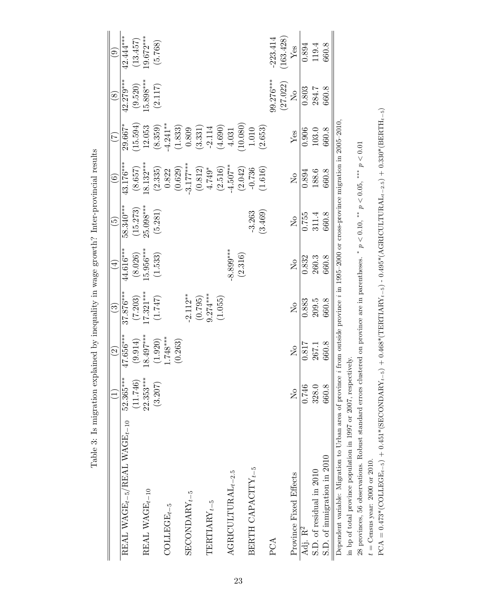|                                                           |                                      | $\widehat{\mathfrak{S}}$ | $\widehat{\mathbb{G}}$    | $\overline{4}$             | $\widetilde{5}$                                                                        | $\widehat{6}$                                   | E                                                       | $\circledS$             | ම          |
|-----------------------------------------------------------|--------------------------------------|--------------------------|---------------------------|----------------------------|----------------------------------------------------------------------------------------|-------------------------------------------------|---------------------------------------------------------|-------------------------|------------|
| $\rm REAL$ WAGE <sub>t-5</sub> /REAL WAGE <sub>t-10</sub> | $52.365***$                          | $47.656***$              | $37.876***$               | 44.616***                  | $58.340***$                                                                            | $43.176***$                                     | $29.667*$                                               | $42.279***$             | 42.444***  |
|                                                           | (11.746)                             | (9.914)                  | (7.203)                   | (8.026)                    | (15.273)                                                                               | (8.657)                                         | 15.594                                                  | (9.520)                 | (13.457)   |
| REAL WAGE $_{t-10}$                                       | $22.353***$                          | $18.497***$              | $17.321***$               | $5.956***$                 | 25.098***                                                                              | $8.132***$                                      | 12.053                                                  | $5.898***$              | $0.672***$ |
|                                                           | (3.207)                              | (1.920)                  | (1.747)                   | (1.533)                    | (5.281)                                                                                |                                                 | (8.359)                                                 | (2.117)                 | (5.768)    |
| $\mathrm{COLLEGE}_{t-5}$                                  |                                      | $1.748***$               |                           |                            |                                                                                        | $\begin{array}{c} (2.335) \\ 0.822 \end{array}$ | $4.241***$                                              |                         |            |
|                                                           |                                      | (0.263)                  |                           |                            |                                                                                        | (0.629)                                         | $(1.833)$<br>0.809                                      |                         |            |
| ${\tt SECONDARY}_{t-5}$                                   |                                      |                          | $2.112**$                 |                            |                                                                                        | $-3.177***$                                     |                                                         |                         |            |
|                                                           |                                      |                          | (0.795)                   |                            |                                                                                        | $(0.812)$<br>4.749*                             |                                                         |                         |            |
| $\label{eq:TRITARY} \textbf{TRRTARY}_{t-5}$               |                                      |                          | $9.274***$                |                            |                                                                                        |                                                 | $\begin{array}{c} (3.331) \\ \text{-}2.114 \end{array}$ |                         |            |
|                                                           |                                      |                          | (1.055)                   |                            |                                                                                        | (2.516)                                         | (4.690)                                                 |                         |            |
| $\label{eq:agra} {\bf AGRICULTURAL}_{t-2.5}$              |                                      |                          |                           | 8.899***                   |                                                                                        | $-4.507***$                                     | 4.031                                                   |                         |            |
|                                                           |                                      |                          |                           | (2.316)                    |                                                                                        | (2.042)                                         | 10.080)                                                 |                         |            |
| BERTH CAPACITY $_{t-5}$                                   |                                      |                          |                           |                            | $-3.263$                                                                               | $-0.736$                                        | $1.010\,$                                               |                         |            |
|                                                           |                                      |                          |                           |                            | (3.469)                                                                                | (1.616)                                         | (2.653)                                                 |                         |            |
| PCA                                                       |                                      |                          |                           |                            |                                                                                        |                                                 |                                                         | 99.276***               | 223.414    |
|                                                           |                                      |                          |                           |                            |                                                                                        |                                                 |                                                         | (27.022)                | (163.428)  |
| Province Fixed Effects                                    | $\overline{\mathsf{X}}^{\mathsf{o}}$ | $\overline{\mathsf{z}}$  | $\mathsf{S}^{\mathsf{O}}$ | $\mathcal{L}_{\mathsf{O}}$ | $\mathsf{S}^{\mathsf{O}}$                                                              | $\mathop{\Sigma}\limits^{\circ}$                | Yes                                                     | $\overline{\mathsf{z}}$ | Yes        |
| Adj. R <sup>2</sup>                                       | 0.746                                | 0.817                    | 0.883                     | 0.832                      | 0.755                                                                                  | 0.894                                           | 0.906                                                   | 0.803                   | 0.894      |
| S.D. of residual in 2010                                  | 328.0                                | 267.1                    | 209.5                     | 260.3                      | 311.4                                                                                  | 188.6                                           | $103.0\,$                                               | 284.7                   | 119.4      |
| S.D. of inmigration in 2010                               | 660.8                                | 660.8                    | 660.8                     | 660.8                      | 660.8                                                                                  | 660.8                                           | 660.8                                                   | 660.8                   | 660.8      |
| Dependent variable: Migration to Urban area of provinc    |                                      |                          |                           |                            | se i from outside province i in 1995-2000 or cross-province migration in $2005-2010$ . |                                                 |                                                         |                         |            |

Table 3: Is migration explained by inequality in wage growth? Inter-provincial results Table 3: Is migration explained by inequality in wage growth? Inter-provincial results

28 provinces, 56 observations. Robust standard errors clustered on province are in parentheses. \*  $p < 0.10$ , \*\*  $p < 0.05$ , \*\*\*  $p < 0.01$ \*  $p < 0.10$ , \*\*  $p < 0.05$ , \*\*\*  $p < 0.01$ 28 provinces, 56 observations. Robust standard errors clustered on province are in parentheses. in bp of total province population in 1997 or 2007, respectively. in bp of total province population in 1997 or 2007, respectively.

 $t={\rm Census}$  year: 2000 or 2010.  $t =$  Census year: 2000 or 2010.

 ${\rm PCA}=0.473^*((\mathrm{COLLEGE}_{t-5})+0.451^*(\mathrm{SECONDARY}_{t-5})+0.468^*(\mathrm{TERTIARY}_{t-5})-0.495^*(\mathrm{AGRICULTURAL}_{t-2.5})+0.330^*(\mathrm{BERTH}_{t-5})$ PCA = 0.473\*(COLLEGEt−5) + 0.451\*(SECONDARYt−5) + 0.468\*(TERTIARYt−5) - 0.495\*(AGRICULTURALt−2.5) + 0.330\*(BERTHt−5)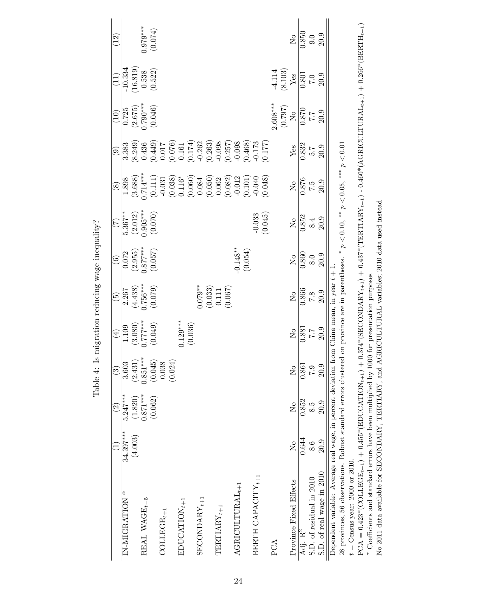|                                                                                                 |                | $\widehat{\mathfrak{S}}$ | $\widehat{3}$                                                  | $\widehat{\mathcal{A}}$                    | $\widetilde{\Theta}$                           | $\widehat{c}$                                                                      | E                          | $\circledast$                                                                                                                                                                                                                                                                                                            | $\widehat{e}$                                                                                                                                                                                                                                                                                    | $\left(10\right)$                                               |                                                             | $\widetilde{\Xi}$              |
|-------------------------------------------------------------------------------------------------|----------------|--------------------------|----------------------------------------------------------------|--------------------------------------------|------------------------------------------------|------------------------------------------------------------------------------------|----------------------------|--------------------------------------------------------------------------------------------------------------------------------------------------------------------------------------------------------------------------------------------------------------------------------------------------------------------------|--------------------------------------------------------------------------------------------------------------------------------------------------------------------------------------------------------------------------------------------------------------------------------------------------|-----------------------------------------------------------------|-------------------------------------------------------------|--------------------------------|
| IN-MIGRATION <sup>a</sup>                                                                       | $34.397***$    | $5.247***$               |                                                                |                                            | 2.267                                          |                                                                                    | $5.367**$                  | $1.898\,$                                                                                                                                                                                                                                                                                                                | 3.383                                                                                                                                                                                                                                                                                            | 0.725                                                           | $-10.334$                                                   |                                |
|                                                                                                 | (4.003)        | (1.820)                  | $\begin{array}{c} 3.603 \\ (2.431) \\ 0.851^{***} \end{array}$ |                                            |                                                |                                                                                    |                            |                                                                                                                                                                                                                                                                                                                          |                                                                                                                                                                                                                                                                                                  | $(2.675)$<br>$0.790***$<br>$(0.046)$                            |                                                             |                                |
| REAL WAGE <sub><math>t-5</math></sub>                                                           |                | $0.871***$               |                                                                |                                            |                                                |                                                                                    |                            |                                                                                                                                                                                                                                                                                                                          |                                                                                                                                                                                                                                                                                                  |                                                                 |                                                             |                                |
|                                                                                                 |                | (0.062)                  | $\begin{array}{c} (0.045) \\ 0.038 \\ (0.024) \end{array}$     | $(3.080)$<br>(3.080)<br>(0.049)<br>(0.049) | $(4.438)$<br>.756***<br>.0.079)                | $\begin{array}{c} \hline 0.072 \ (2.955) \ (3.957^{***} \ 0.877^{***} \end{array}$ | $(2.012)$<br>$0.905***$    | $\begin{array}{l} (3.688) \\ 7.714^{***} \\ (0.111) \\ (0.038) \\ (0.038) \\ (0.060) \\ (0.060) \\ (0.061) \\ (0.062) \\ (0.051) \\ (0.002) \\ (0.011) \\ (0.002) \\ (0.011) \\ (0.002) \\ (0.004) \\ (0.004) \\ (0.004) \\ (0.004) \\ (0.004) \\ (0.005) \\ (0.005) \\ (0.004) \\ (0.005) \\ (0.005) \\ (0.005) \\ (0.$ | $\begin{array}{l} (8.249) \\ 0.436 \\ 0.0149 \\ 0.017 \\ 0.017 \\ 0.011 \\ 0.011 \\ 0.011 \\ 0.008 \\ 0.008 \\ 0.008 \\ 0.008 \\ 0.008 \\ 0.008 \\ 0.008 \\ 0.008 \\ 0.0008 \\ 0.0008 \\ 0.0008 \\ 0.0008 \\ 0.0008 \\ 0.0008 \\ 0.0009 \\ 0.0009 \\ 0.0009 \\ 0.0009 \\ 0.0009 \\ 0.0009 \\ 0.$ |                                                                 | $\begin{array}{c} (16.819) \\ 0.538 \\ (0.522) \end{array}$ | $(510.07)$<br>****074)         |
| $\mathrm{COLLEGE}_{t+1}$                                                                        |                |                          |                                                                |                                            |                                                |                                                                                    |                            |                                                                                                                                                                                                                                                                                                                          |                                                                                                                                                                                                                                                                                                  |                                                                 |                                                             |                                |
|                                                                                                 |                |                          |                                                                |                                            |                                                |                                                                                    |                            |                                                                                                                                                                                                                                                                                                                          |                                                                                                                                                                                                                                                                                                  |                                                                 |                                                             |                                |
| EDUCATION $_{t+1}$                                                                              |                |                          |                                                                |                                            |                                                |                                                                                    |                            |                                                                                                                                                                                                                                                                                                                          |                                                                                                                                                                                                                                                                                                  |                                                                 |                                                             |                                |
|                                                                                                 |                |                          |                                                                | $0.129***$<br>(0.036)                      |                                                |                                                                                    |                            |                                                                                                                                                                                                                                                                                                                          |                                                                                                                                                                                                                                                                                                  |                                                                 |                                                             |                                |
| $\operatorname{SECONDARY}_{t+1}$                                                                |                |                          |                                                                |                                            |                                                |                                                                                    |                            |                                                                                                                                                                                                                                                                                                                          |                                                                                                                                                                                                                                                                                                  |                                                                 |                                                             |                                |
|                                                                                                 |                |                          |                                                                |                                            | $1.079**$<br>$(0.033)$<br>$0.111$<br>$(0.067)$ |                                                                                    |                            |                                                                                                                                                                                                                                                                                                                          |                                                                                                                                                                                                                                                                                                  |                                                                 |                                                             |                                |
| $\label{eq:TRITI} \textbf{TRRTIARY}_{t+1}$                                                      |                |                          |                                                                |                                            |                                                |                                                                                    |                            |                                                                                                                                                                                                                                                                                                                          |                                                                                                                                                                                                                                                                                                  |                                                                 |                                                             |                                |
|                                                                                                 |                |                          |                                                                |                                            |                                                |                                                                                    |                            |                                                                                                                                                                                                                                                                                                                          |                                                                                                                                                                                                                                                                                                  |                                                                 |                                                             |                                |
| ${\bf AGRICULTURAL}_{t+1}$                                                                      |                |                          |                                                                |                                            |                                                | $-0.148**$<br>(0.054)                                                              |                            |                                                                                                                                                                                                                                                                                                                          |                                                                                                                                                                                                                                                                                                  |                                                                 |                                                             |                                |
|                                                                                                 |                |                          |                                                                |                                            |                                                |                                                                                    |                            |                                                                                                                                                                                                                                                                                                                          |                                                                                                                                                                                                                                                                                                  |                                                                 |                                                             |                                |
| BERTH CAPACITY $_{t+1}$                                                                         |                |                          |                                                                |                                            |                                                |                                                                                    | $-0.033$<br>$(0.045)$      |                                                                                                                                                                                                                                                                                                                          |                                                                                                                                                                                                                                                                                                  |                                                                 |                                                             |                                |
|                                                                                                 |                |                          |                                                                |                                            |                                                |                                                                                    |                            |                                                                                                                                                                                                                                                                                                                          |                                                                                                                                                                                                                                                                                                  |                                                                 |                                                             |                                |
| PCA                                                                                             |                |                          |                                                                |                                            |                                                |                                                                                    |                            |                                                                                                                                                                                                                                                                                                                          |                                                                                                                                                                                                                                                                                                  |                                                                 |                                                             |                                |
|                                                                                                 |                |                          |                                                                |                                            |                                                |                                                                                    |                            |                                                                                                                                                                                                                                                                                                                          |                                                                                                                                                                                                                                                                                                  | $\begin{array}{c} 2.608^{***} \ (0.797) \ {\rm No} \end{array}$ | $\frac{-4.114}{\text{Yes}}$                                 |                                |
| Province Fixed Effects                                                                          | $\overline{R}$ | $\overline{\mathsf{X}}$  | $\overline{N}$                                                 | $\mathcal{L}_{\mathsf{O}}$                 |                                                | $\mathsf{S}^{\mathsf{O}}$                                                          |                            | $\mathop{\mathsf{S}}\nolimits$                                                                                                                                                                                                                                                                                           | $\operatorname{Yes}$                                                                                                                                                                                                                                                                             |                                                                 |                                                             | $\mathop{\mathsf{S}}\nolimits$ |
| Adj. R <sup>2</sup>                                                                             | 0.644          | 0.852                    | 0.861                                                          | $\frac{6}{7}$<br>7.7<br>20.9               | $\frac{10}{100}$<br>$\frac{866}{7.3}$          | $\overline{0.860}$                                                                 | $\frac{N_0}{0.852}$<br>8.4 | $\frac{876}{7.5}$<br>20.9                                                                                                                                                                                                                                                                                                | $\frac{832}{5.7}$<br>5.7<br>20.9                                                                                                                                                                                                                                                                 | $\frac{6.05}{2.7}$                                              | $\frac{6}{70}$<br>7.0<br>20.9                               | $\frac{850}{9.0}$              |
| S.D. of residual in 2010                                                                        | $\frac{6}{8}$  | 8.5                      | 6.7                                                            |                                            |                                                | $8.0\,$                                                                            |                            |                                                                                                                                                                                                                                                                                                                          |                                                                                                                                                                                                                                                                                                  |                                                                 |                                                             |                                |
| S.D. of real wage in 2010                                                                       | 20.9           | 20.9                     | 20.9                                                           |                                            |                                                | 20.9                                                                               | 20.9                       |                                                                                                                                                                                                                                                                                                                          |                                                                                                                                                                                                                                                                                                  |                                                                 |                                                             |                                |
| Dependent variable: Average real wage, in percent deviation                                     |                |                          |                                                                | from China mean, in year $t+1$             |                                                |                                                                                    |                            |                                                                                                                                                                                                                                                                                                                          |                                                                                                                                                                                                                                                                                                  |                                                                 |                                                             |                                |
| 28 provinces, 56 observations. Robust standard errors clustered on province are in parentheses. |                |                          |                                                                |                                            |                                                |                                                                                    |                            | $p < 0.10$ , ** $p < 0.05$ , *** $p < 0.01$                                                                                                                                                                                                                                                                              |                                                                                                                                                                                                                                                                                                  |                                                                 |                                                             |                                |
| anna anta                                                                                       |                |                          |                                                                |                                            |                                                |                                                                                    |                            |                                                                                                                                                                                                                                                                                                                          |                                                                                                                                                                                                                                                                                                  |                                                                 |                                                             |                                |

Table 4: Is migration reducing wage inequality? Table 4: Is migration reducing wage inequality?

ہ ⊬ ہ  $t =$  Census year: 2000 or 2010. PCA = 0.453\*(COLLEGE)\*(EDUCATIONt+1) + 0.437\*(TERTARY+1) + 0.437\*(TERTIARYt+1) + 0.457\*(TERTH+1) + 0.460\*(AGRICULTURALt+1) + 0.465\*(BERTH+1) + 0.465\*(BERTH+1) + 0.465\*(EDUCATIONt-1) + 0.455 \*(EDUCATIONt-1) + 0.455 \*(EDUCAT  $\alpha$  Coefficients and standard errors have been multiplied by 1000 for presentation purposes

No 2011 data available for SECONDARY, TERTIARY, and AGRICULTURAL variables; 2010 data used instead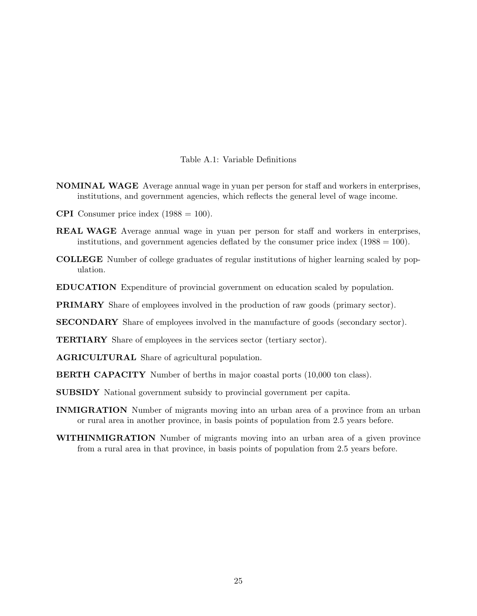### Table A.1: Variable Definitions

- NOMINAL WAGE Average annual wage in yuan per person for staff and workers in enterprises, institutions, and government agencies, which reflects the general level of wage income.
- **CPI** Consumer price index  $(1988 = 100)$ .
- REAL WAGE Average annual wage in yuan per person for staff and workers in enterprises, institutions, and government agencies deflated by the consumer price index  $(1988 = 100)$ .
- COLLEGE Number of college graduates of regular institutions of higher learning scaled by population.
- EDUCATION Expenditure of provincial government on education scaled by population.

PRIMARY Share of employees involved in the production of raw goods (primary sector).

SECONDARY Share of employees involved in the manufacture of goods (secondary sector).

TERTIARY Share of employees in the services sector (tertiary sector).

- AGRICULTURAL Share of agricultural population.
- BERTH CAPACITY Number of berths in major coastal ports (10,000 ton class).
- SUBSIDY National government subsidy to provincial government per capita.
- INMIGRATION Number of migrants moving into an urban area of a province from an urban or rural area in another province, in basis points of population from 2.5 years before.
- WITHINMIGRATION Number of migrants moving into an urban area of a given province from a rural area in that province, in basis points of population from 2.5 years before.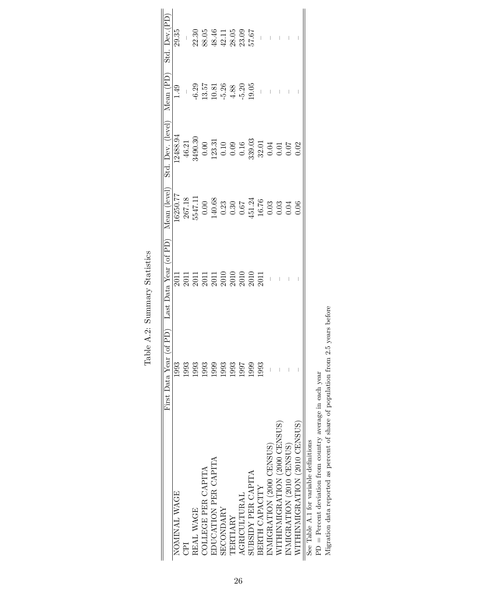|                                                                   | First Data Year ( | of PD) Last Data Year (of PD) Mean (level)                                  |                                                                                                                                         | Std. Dev. (level) Mean (PD)                                                                                                                                                                                                                                                                                                 |                                                                              | Std. Dev.(PD                                                      |
|-------------------------------------------------------------------|-------------------|-----------------------------------------------------------------------------|-----------------------------------------------------------------------------------------------------------------------------------------|-----------------------------------------------------------------------------------------------------------------------------------------------------------------------------------------------------------------------------------------------------------------------------------------------------------------------------|------------------------------------------------------------------------------|-------------------------------------------------------------------|
| NOMINAL WAGE                                                      | 1993              |                                                                             | $-6250.77$                                                                                                                              | 12488.94                                                                                                                                                                                                                                                                                                                    | 1.49                                                                         | 29.35                                                             |
| E                                                                 | 1993              |                                                                             | 267.18                                                                                                                                  | 46.21                                                                                                                                                                                                                                                                                                                       | $\mathbf{I}$                                                                 |                                                                   |
| REAL WAGE                                                         | 1993              |                                                                             |                                                                                                                                         | 1490.30                                                                                                                                                                                                                                                                                                                     |                                                                              |                                                                   |
| COLLEGE PER CAPITA                                                | 1993              | 2011<br>2011 11 12 13 13 14 15 16 16 17<br>2010 2010 2010<br>2011 2020 2011 | $\begin{array}{l} 5547.11 \\ 0.00 \\ 0.00 \\ 140.68 \\ 0.23 \\ 0.30 \\ 0.67 \\ 145.124 \\ 16.76 \\ 0.03 \\ 0.03 \\ 0.04 \\ \end{array}$ |                                                                                                                                                                                                                                                                                                                             | $6.29$<br>$0.57$<br>$11.51$<br>$0.26$<br>$0.4.80$<br>$0.5$<br>$0.5$<br>$0.5$ | $\frac{1}{22.30}$<br>22.36<br>88.44.11<br>32.05<br>23.05<br>57.67 |
| EDUCATION PER CAPITA                                              | 1999              |                                                                             |                                                                                                                                         |                                                                                                                                                                                                                                                                                                                             |                                                                              |                                                                   |
| <b>SECONDARY</b>                                                  | 1993              |                                                                             |                                                                                                                                         |                                                                                                                                                                                                                                                                                                                             |                                                                              |                                                                   |
| TERTIARY                                                          | 1993              |                                                                             |                                                                                                                                         |                                                                                                                                                                                                                                                                                                                             |                                                                              |                                                                   |
| AGRICULTURAL                                                      | 1997              |                                                                             |                                                                                                                                         |                                                                                                                                                                                                                                                                                                                             |                                                                              |                                                                   |
| SUBSIDY PER CAPITA                                                | 1999              |                                                                             |                                                                                                                                         |                                                                                                                                                                                                                                                                                                                             |                                                                              |                                                                   |
| BERTH CAPACITY                                                    | 1993              |                                                                             |                                                                                                                                         |                                                                                                                                                                                                                                                                                                                             |                                                                              | $\overline{\phantom{a}}$                                          |
| INMIGRATION (2000 CENSUS)                                         |                   |                                                                             |                                                                                                                                         | $\begin{array}{c} 0.00 \\[-4pt] 0.10 \\[-4pt] 0.10 \\[-4pt] 0.09 \\[-4pt] 0.16 \\[-4pt] 0.03 \\[-4pt] 0.04 \\[-4pt] 0.07 \\[-4pt] 0.07 \\[-4pt] 0.07 \\[-4pt] 0.07 \\[-4pt] 0.07 \\[-4pt] 0.07 \\[-4pt] 0.07 \\[-4pt] 0.07 \\[-4pt] 0.07 \\[-4pt] 0.07 \\[-4pt] 0.07 \\[-4pt] 0.07 \\[-4pt] 0.07 \\[-4pt] 0.07 \\[-4pt] 0.$ |                                                                              | $\bar{\mathbb{Z}}$                                                |
| WITHINMIGRATION (2000 CENSUS)                                     |                   |                                                                             |                                                                                                                                         |                                                                                                                                                                                                                                                                                                                             |                                                                              |                                                                   |
| INMIGRATION (2010 CENSUS)                                         |                   |                                                                             |                                                                                                                                         |                                                                                                                                                                                                                                                                                                                             |                                                                              |                                                                   |
| WITHINMIGRATION (2010 CENSUS)                                     |                   |                                                                             | 0.06                                                                                                                                    | 0.02                                                                                                                                                                                                                                                                                                                        |                                                                              |                                                                   |
| See Table A.1 for variable definitions                            |                   |                                                                             |                                                                                                                                         |                                                                                                                                                                                                                                                                                                                             |                                                                              |                                                                   |
| $PD = Percent$ deviation from country average in each year        |                   |                                                                             |                                                                                                                                         |                                                                                                                                                                                                                                                                                                                             |                                                                              |                                                                   |
| Migration data reported as percent of share of population from 2. | 5 years before    |                                                                             |                                                                                                                                         |                                                                                                                                                                                                                                                                                                                             |                                                                              |                                                                   |

Table A.2: Summary Statistics Table A.2: Summary Statistics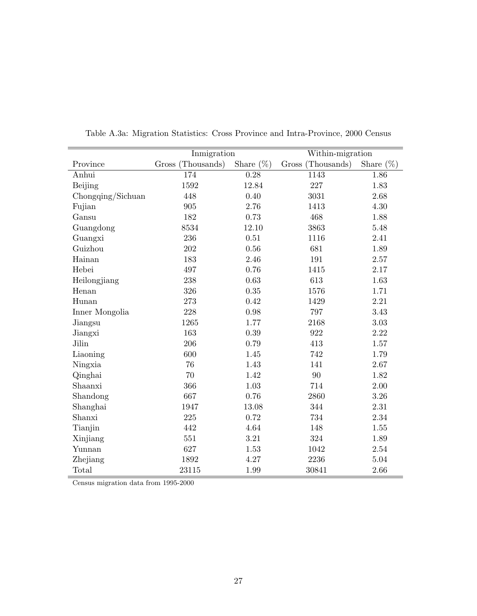|                   | Inmigration       |              | Within-migration  |              |
|-------------------|-------------------|--------------|-------------------|--------------|
| Province          | Gross (Thousands) | Share $(\%)$ | Gross (Thousands) | Share $(\%)$ |
| Anhui             | 174               | 0.28         | 1143              | 1.86         |
| Beijing           | 1592              | 12.84        | 227               | 1.83         |
| Chongqing/Sichuan | 448               | 0.40         | 3031              | 2.68         |
| Fujian            | 905               | 2.76         | 1413              | 4.30         |
| Gansu             | 182               | 0.73         | 468               | 1.88         |
| Guangdong         | 8534              | $12.10\,$    | 3863              | 5.48         |
| Guangxi           | 236               | 0.51         | 1116              | 2.41         |
| Guizhou           | 202               | 0.56         | 681               | 1.89         |
| Hainan            | 183               | 2.46         | 191               | $2.57\,$     |
| Hebei             | 497               | 0.76         | 1415              | 2.17         |
| Heilongjiang      | 238               | 0.63         | 613               | 1.63         |
| Henan             | 326               | 0.35         | 1576              | 1.71         |
| Hunan             | $273\,$           | 0.42         | 1429              | 2.21         |
| Inner Mongolia    | 228               | 0.98         | 797               | 3.43         |
| Jiangsu           | 1265              | 1.77         | 2168              | $3.03\,$     |
| Jiangxi           | 163               | 0.39         | 922               | 2.22         |
| Jilin             | 206               | 0.79         | 413               | 1.57         |
| Liaoning          | 600               | 1.45         | 742               | 1.79         |
| Ningxia           | 76                | 1.43         | 141               | 2.67         |
| Qinghai           | 70                | 1.42         | 90                | 1.82         |
| Shaanxi           | 366               | 1.03         | 714               | 2.00         |
| Shandong          | 667               | 0.76         | 2860              | 3.26         |
| Shanghai          | 1947              | 13.08        | 344               | 2.31         |
| Shanxi            | 225               | 0.72         | 734               | 2.34         |
| Tianjin           | 442               | 4.64         | 148               | 1.55         |
| Xinjiang          | 551               | 3.21         | 324               | 1.89         |
| Yunnan            | 627               | 1.53         | 1042              | 2.54         |
| Zhejiang          | 1892              | 4.27         | 2236              | $5.04\,$     |
| Total             | 23115             | 1.99         | 30841             | 2.66         |

Table A.3a: Migration Statistics: Cross Province and Intra-Province, 2000 Census

Census migration data from 1995-2000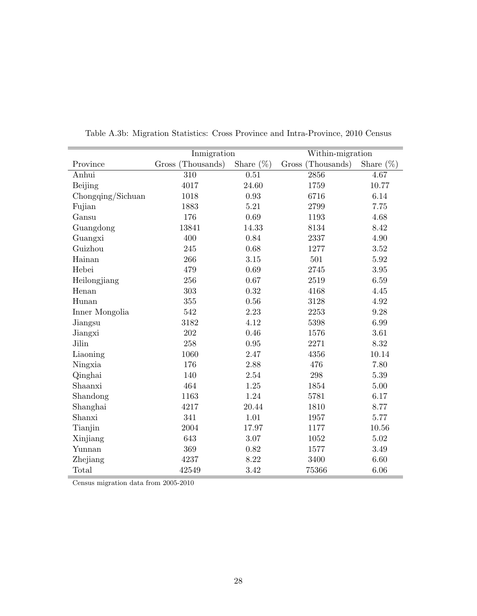|                   | Inmigration       |              | Within-migration  |              |
|-------------------|-------------------|--------------|-------------------|--------------|
| Province          | Gross (Thousands) | Share $(\%)$ | Gross (Thousands) | Share $(\%)$ |
| Anhui             | 310               | 0.51         | 2856              | 4.67         |
| Beijing           | 4017              | 24.60        | 1759              | 10.77        |
| Chongqing/Sichuan | 1018              | $\rm 0.93$   | 6716              | 6.14         |
| Fujian            | 1883              | $5.21\,$     | 2799              | 7.75         |
| Gansu             | 176               | $0.69\,$     | 1193              | 4.68         |
| Guangdong         | 13841             | 14.33        | 8134              | 8.42         |
| Guangxi           | 400               | 0.84         | 2337              | 4.90         |
| Guizhou           | 245               | 0.68         | 1277              | $3.52\,$     |
| Hainan            | 266               | $3.15\,$     | 501               | $5.92\,$     |
| Hebei             | 479               | 0.69         | 2745              | $3.95\,$     |
| Heilongjiang      | 256               | 0.67         | 2519              | 6.59         |
| Henan             | 303               | 0.32         | 4168              | 4.45         |
| Hunan             | 355               | 0.56         | 3128              | 4.92         |
| Inner Mongolia    | 542               | 2.23         | 2253              | 9.28         |
| Jiangsu           | 3182              | 4.12         | 5398              | 6.99         |
| Jiangxi           | 202               | 0.46         | 1576              | 3.61         |
| Jilin             | 258               | 0.95         | 2271              | $8.32\,$     |
| Liaoning          | 1060              | $2.47\,$     | 4356              | 10.14        |
| Ningxia           | 176               | 2.88         | 476               | 7.80         |
| Qinghai           | 140               | $2.54\,$     | $\,298$           | $5.39\,$     |
| Shaanxi           | 464               | 1.25         | 1854              | $5.00\,$     |
| Shandong          | 1163              | 1.24         | 5781              | 6.17         |
| Shanghai          | 4217              | 20.44        | 1810              | 8.77         |
| Shanxi            | 341               | 1.01         | 1957              | 5.77         |
| Tianjin           | 2004              | 17.97        | 1177              | 10.56        |
| Xinjiang          | 643               | 3.07         | 1052              | 5.02         |
| Yunnan            | 369               | 0.82         | 1577              | 3.49         |
| Zhejiang          | 4237              | 8.22         | 3400              | 6.60         |
| Total             | 42549             | 3.42         | 75366             | 6.06         |

Table A.3b: Migration Statistics: Cross Province and Intra-Province, 2010 Census

Census migration data from 2005-2010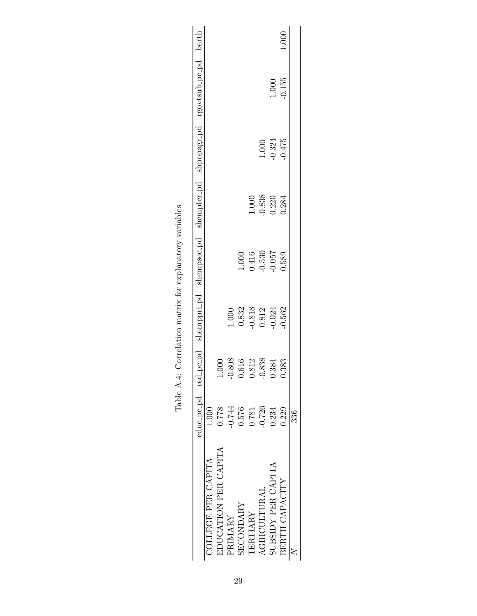|                      |          |       |                                                                 |                                                                 |                                |                                                        | educ-pc-pd red-pc-pd shemppri-pd shempsec-pd shempter-pd shpopagr-pd rgovtsub-pc-pd berth |         |
|----------------------|----------|-------|-----------------------------------------------------------------|-----------------------------------------------------------------|--------------------------------|--------------------------------------------------------|-------------------------------------------------------------------------------------------|---------|
| COLLEGE PER CAPITA   | 1.000    |       |                                                                 |                                                                 |                                |                                                        |                                                                                           |         |
| EDUCATION PER CAPITA | 0.778    |       |                                                                 |                                                                 |                                |                                                        |                                                                                           |         |
|                      | -0.744   | 0.808 | 1.000                                                           |                                                                 |                                |                                                        |                                                                                           |         |
|                      | 0.576    | .616  |                                                                 |                                                                 |                                |                                                        |                                                                                           |         |
|                      | 0.781    | .812  |                                                                 |                                                                 | 1.000                          |                                                        |                                                                                           |         |
|                      | $-0.726$ | 1.838 | $\begin{array}{c} 0.832 \\ 0.818 \\ 0.812 \\ 0.024 \end{array}$ | $\begin{array}{c} 1.000 \\ 0.416 \\ 0.530 \\ 0.057 \end{array}$ |                                |                                                        |                                                                                           |         |
| SUBSIDY PER CAPITA   | 0.234    | 384   |                                                                 |                                                                 | $\frac{0.838}{0.220}$<br>0.220 | $\begin{array}{c} 1.000 \\ 0.324 \\ 0.475 \end{array}$ |                                                                                           |         |
|                      | 0.229    | 383   | $-0.562$                                                        | 0.589                                                           |                                |                                                        | $1.000$<br>$-0.155$                                                                       | $000$ . |
|                      | 336      |       |                                                                 |                                                                 |                                |                                                        |                                                                                           |         |

| $\sim$ $\sim$ $\sim$<br>֠<br>I<br>ı       |
|-------------------------------------------|
|                                           |
| ı                                         |
| $20 - 24 = 25$<br>l<br>J<br>Č             |
| ׅ֧֧ׅ֧֧ׅ֧֚֚֚֚֚֚֚֚֚֚֚֚֚֚֚֚֚֚֡֡֡֡֜֓֝֬֜֓֝֬֜֓֝ |
| j<br>l                                    |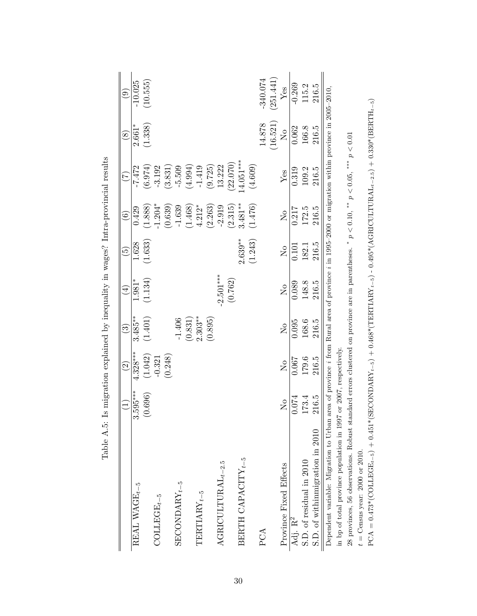|                                                                   |                                      | $\widehat{\mathfrak{S}}$             | $\widetilde{\mathbb{C}}$             | $(\pm$                  | $\widetilde{\mathbf{e}}$ | $\widehat{\mathfrak{S}}$ |                                                                                                                        | $\circledS$             | $\odot$   |
|-------------------------------------------------------------------|--------------------------------------|--------------------------------------|--------------------------------------|-------------------------|--------------------------|--------------------------|------------------------------------------------------------------------------------------------------------------------|-------------------------|-----------|
| REAL WAGE <sub><math>t-5</math></sub>                             | $3.595***$                           | $-328***$                            | $3.485***$                           | 1.981*                  | 1.628                    | 0.429                    | $-7.472$                                                                                                               | $2.661*$                | $-10.025$ |
|                                                                   | (0.696)                              | (1.042)                              | (1.401)                              | (1.134)                 | (1.633)                  | (1.888)                  | (6.974)                                                                                                                | (1.338)                 | (10.555)  |
| $\mathrm{COLLEGE}_{t-5}$                                          |                                      | $-0.321$                             |                                      |                         |                          | $1.204*$                 | $-3.192$                                                                                                               |                         |           |
|                                                                   |                                      | (0.248)                              |                                      |                         |                          | (0.639)                  | (3.831)                                                                                                                |                         |           |
| ${\tt SECONDARY}_{t-5}$                                           |                                      |                                      | $-1.406$                             |                         |                          | $-1.639$                 | $-5.509$                                                                                                               |                         |           |
|                                                                   |                                      |                                      | (0.831)                              |                         |                          | (1.468)                  | (4.994)                                                                                                                |                         |           |
| $\label{eq:TRITARY} \textbf{TRRTARY}_{t-5}$                       |                                      |                                      | $2.303***$                           |                         |                          | $4.212*$                 | $-1.419$                                                                                                               |                         |           |
|                                                                   |                                      |                                      | (0.895)                              |                         |                          | (2.263)                  | (9.725)                                                                                                                |                         |           |
| $\operatorname{AGRICULTURAL}_{t-2.5}$                             |                                      |                                      |                                      | $2.501***$              |                          | $-2.919$                 | 13.222                                                                                                                 |                         |           |
|                                                                   |                                      |                                      |                                      | (0.762)                 |                          | (2.315)                  | 22.070)                                                                                                                |                         |           |
| BERTH CAPACITY $_{t-5}$                                           |                                      |                                      |                                      |                         | $2.639***$               | $3.481***$               | $4.051***$                                                                                                             |                         |           |
|                                                                   |                                      |                                      |                                      |                         | (1.243)                  | (1.476)                  | (4.609)                                                                                                                |                         |           |
| PCA                                                               |                                      |                                      |                                      |                         |                          |                          |                                                                                                                        | 14.878                  | 340.074   |
|                                                                   |                                      |                                      |                                      |                         |                          |                          |                                                                                                                        | (16.521)                | (251.441) |
| Province Fixed Effects                                            | $\overline{\mathsf{X}}^{\mathsf{o}}$ | $\overline{\mathsf{X}}^{\mathsf{o}}$ | $\overline{\mathsf{X}}^{\mathsf{o}}$ | $\overline{\mathsf{X}}$ | $\overline{R}$           | $\overline{\mathsf{X}}$  | $Y$ es                                                                                                                 | $\overline{\mathsf{z}}$ | $Y$ es    |
| Adj. R <sup>2</sup>                                               | 0.074                                | 1.067                                | 0.095                                | 0.089                   | 0.101                    | 0.217                    | 0.319                                                                                                                  | 0.062                   | $-0.269$  |
| S.D. of residual in 2010                                          | 173.4                                | 179.6                                | 168.6                                | 148.8                   | 182.1                    | 172.5                    | 109.2                                                                                                                  | 166.8                   | 115.2     |
| S.D. of withinmigration in 2010                                   | 216.5                                | 216.5                                | 216.5                                | 216.5                   | 216.5                    | 216.5                    | 216.5                                                                                                                  | 216.5                   | 216.5     |
| Dependent variable: Migration to Urban                            |                                      |                                      |                                      |                         |                          |                          | area of province <i>i</i> from Rural area of province <i>i</i> in 1995-2000 or migration within province in 2005-2010, |                         |           |
| in bp of total province population in 1997 or 2007, respectively. |                                      |                                      |                                      |                         |                          |                          |                                                                                                                        |                         |           |

28 provinces, 56 observations. Robust standard errors clustered on province are in parentheses.

 $t={\rm Census}$  year: 2000 or 2010.  $t =$  Census year: 2000 or 2010.

28 provinces, 56 observations. Robust standard errors clustered on province are in parentheses. \*  $p < 0.10$ , \*\*  $p < 0.05$ , \*\*\*  $p < 0.01$ 

 $\text{PCA} = 0.473* (\text{GDE} + 0.451*(\text{SEDANDARY}_{t−5}) + 0.468*(\text{TERXITARK}_{t−5}) - 0.495*(\text{AGBNCUTURAL}_{t−2.5}) + 0.330*(\text{BERTH}_{t−5})$ 

 $\text{PCA} = 0.473*(\text{COLLEGE}_{t-5}) + 0.451*(\text{SECONDARY}_{t-5}) + 0.468*(\text{TERITARY}_{t-5}) - 0.495*(\text{AGRICULTURAL}_{t-2.5}) + 0.330*(\text{BERTH}_{t-5})$ 

\*  $p < 0.10$ , \*\*  $p < 0.05$ , \*\*\*  $p < 0.01$ 

Table A.5: Is migration explained by inequality in wages? Intra-provincial results Table A.5: Is migration explained by inequality in wages? Intra-provincial results

30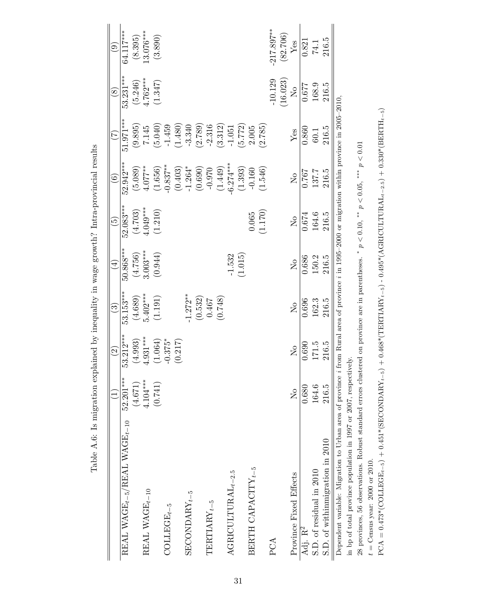|                                                                   |                                      | $\widehat{\mathfrak{S}}$ | $\widehat{\mathbb{G}}$  | $(\pm)$                   | $\widetilde{\Theta}$                 | $\widehat{\odot}$       | E                                                                                           | $\circledS$    | $\widehat{e}$          |
|-------------------------------------------------------------------|--------------------------------------|--------------------------|-------------------------|---------------------------|--------------------------------------|-------------------------|---------------------------------------------------------------------------------------------|----------------|------------------------|
| REAL WAGE <sub>t-5</sub> /REAL WAGE <sub>t-10</sub>               | 52.201***                            | $53.212***$              | 53.153***               | $50.868***$               | $52.083***$                          | 52.942***               | $51.971***$                                                                                 | 53.231***      | 64.117***              |
|                                                                   | (4.671)                              | (4.993)                  | (4.689)                 |                           |                                      | (5.089)                 |                                                                                             | (5.246)        |                        |
| REAL WAGE <sub>t-10</sub>                                         | $4.104***$                           | $4.931***$               | $5.402***$              | $(4.756)$<br>3.003***     |                                      | $4.077***$              | $(9.895)$<br>7.145                                                                          | $4.762***$     | $(8.395)$<br>13.076*** |
|                                                                   | (0.741)                              | (1.064)                  | (1.191)                 | (0.944)                   | $(4.703)$<br>$4.049***$<br>$(1.210)$ | (1.656)                 | (5.040)                                                                                     | (1.347)        | (3.890)                |
| $\mathrm{COLLEGE}_{t-5}$                                          |                                      | $-0.375*$                |                         |                           |                                      | $-0.837***$             | $-1.459$                                                                                    |                |                        |
|                                                                   |                                      | (0.217)                  |                         |                           |                                      | (0.403)                 | (1.480)                                                                                     |                |                        |
| $\mathrm{SECONDARY}_{t-5}$                                        |                                      |                          | $1.272**$               |                           |                                      | $-1.264*$               | $-3.340$                                                                                    |                |                        |
|                                                                   |                                      |                          | $(0.532)$<br>0.467      |                           |                                      | (0.690)                 | (2.789)                                                                                     |                |                        |
| $\label{eq:TRITIARY} \text{TERITARY}_{t-5}$                       |                                      |                          |                         |                           |                                      | $-0.970$                | $-2.316$                                                                                    |                |                        |
|                                                                   |                                      |                          | (0.748)                 |                           |                                      | (1.449)                 | (3.312)                                                                                     |                |                        |
| $\label{eq:agra} {\bf AGRICULTUTURAL}_{t-2.5}$                    |                                      |                          |                         | $-1.532$                  |                                      | $6.274***$              | $-1.051$                                                                                    |                |                        |
|                                                                   |                                      |                          |                         | (1.015)                   |                                      | (1.393)                 | (5.772)                                                                                     |                |                        |
| BERTH CAPACITY $_{t-5}$                                           |                                      |                          |                         |                           | 0.065                                | $-0.160$                | 2.005                                                                                       |                |                        |
|                                                                   |                                      |                          |                         |                           | (1.170)                              | (1.546)                 | (2.785)                                                                                     |                |                        |
| PCA                                                               |                                      |                          |                         |                           |                                      |                         |                                                                                             | 10.129         | 217.897**              |
|                                                                   |                                      |                          |                         |                           |                                      |                         |                                                                                             | (16.023)       | (82.706)               |
| Province Fixed Effects                                            | $\overline{\mathsf{X}}^{\mathsf{O}}$ | $\overline{\mathsf{X}}$  | $\overline{\mathsf{z}}$ | $\mathsf{S}^{\mathsf{O}}$ | $\mathcal{L}_{\mathsf{O}}$           | $\overline{\mathsf{X}}$ | Yes                                                                                         | $\overline{N}$ | Yes                    |
| Adj. R <sup>2</sup>                                               | 0.680                                | 0.690                    | 0.696                   | 0.686                     | 0.674                                | 767                     | 0.860                                                                                       | 129.0          | 0.821                  |
| S.D. of residual in 2010                                          | 164.6                                | 171.5                    | 162.3                   | 150.2                     | 164.6                                | 137.7                   | $60.1\,$                                                                                    | 168.9          | 74.1                   |
| S.D. of withinmigration in 2010                                   | 216.5                                | 216.5                    | 216.5                   | 216.5                     | 216.5                                | 216.5                   | 216.5                                                                                       | 216.5          | 216.5                  |
| Dependent variable: Migration to Urban area of province           |                                      |                          |                         |                           |                                      |                         | from Rural area of province <i>i</i> in 1995-2000 or migration within province in 2005-2010 |                |                        |
| in bp of total province population in 1997 or 2007, respectively. |                                      |                          |                         |                           |                                      |                         |                                                                                             |                |                        |

Table A.6: Is migration explained by inequality in wage growth? Intra-provincial results Table A.6: Is migration explained by inequality in wage growth? Intra-provincial results in bp of total province population in 1997 or 2007, respectively. 28 provinces, 56 observations. Robust standard errors clustered on province are in parentheses. 28 provinces, 56 observations. Robust standard errors clustered on province are in parentheses. \*  $p < 0.10$ , \*\*  $p < 0.05$ , \*\*\*  $p < 0.01$ \*  $p < 0.10$ , \*\*  $p < 0.05$ , \*\*\*  $p < 0.01$ 

 $t={\rm Census}$  year: 2000 or 2010.  $t =$  Census year: 2000 or 2010.

 ${\rm PCA}=0.473^*((\mathrm{COLLEGE}_{t-5})+0.451^*(\mathrm{SECONDARY}_{t-5})+0.468^*(\mathrm{TERTIARY}_{t-5})-0.495^*(\mathrm{AGRICULTURAL}_{t-2.5})+0.330^*(\mathrm{BERTH}_{t-5})$ PCA = 0.473\*(COLLEGEt−5) + 0.451\*(SECONDARYt−5) + 0.468\*(TERTIARYt−5) - 0.495\*(AGRICULTURALt−2.5) + 0.330\*(BERTHt−5)